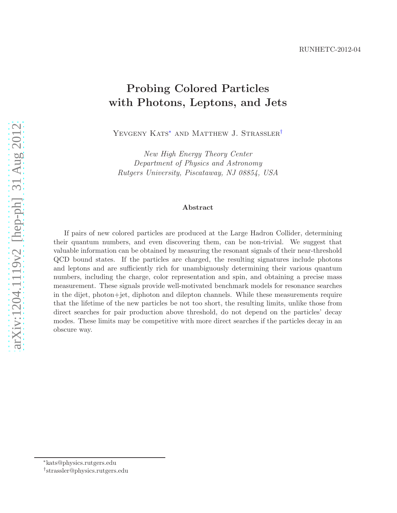## Probing Colored Particles with Photons, Leptons, and Jets

YEVGENY KATS<sup>\*</sup> AND MATTHEW J. STRASSLER<sup>[†](#page-0-1)</sup>

New High Energy Theory Center Department of Physics and Astronomy Rutgers University, Piscataway, NJ 08854, USA

#### Abstract

If pairs of new colored particles are produced at the Large Hadron Collider, determining their quantum numbers, and even discovering them, can be non-trivial. We suggest that valuable information can be obtained by measuring the resonant signals of their near-threshold QCD bound states. If the particles are charged, the resulting signatures include photons and leptons and are sufficiently rich for unambiguously determining their various quantum numbers, including the charge, color representation and spin, and obtaining a precise mass measurement. These signals provide well-motivated benchmark models for resonance searches in the dijet, photon+jet, diphoton and dilepton channels. While these measurements require that the lifetime of the new particles be not too short, the resulting limits, unlike those from direct searches for pair production above threshold, do not depend on the particles' decay modes. These limits may be competitive with more direct searches if the particles decay in an obscure way.

<sup>∗</sup>kats@physics.rutgers.edu

<span id="page-0-1"></span><span id="page-0-0"></span><sup>†</sup> strassler@physics.rutgers.edu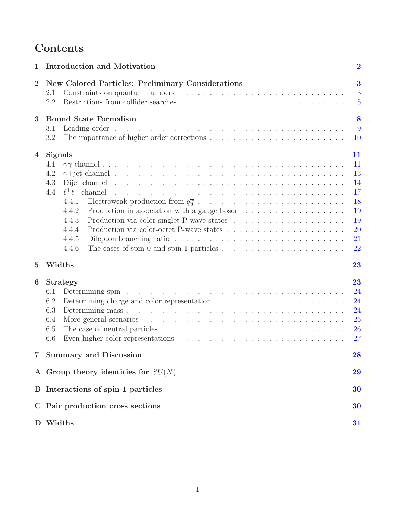# Contents

| 1              | Introduction and Motivation                                                                                                                                                                                                                                                                                                                                                                                                                                                                                                                      | $\overline{2}$                                                        |
|----------------|--------------------------------------------------------------------------------------------------------------------------------------------------------------------------------------------------------------------------------------------------------------------------------------------------------------------------------------------------------------------------------------------------------------------------------------------------------------------------------------------------------------------------------------------------|-----------------------------------------------------------------------|
| $\overline{2}$ | <b>New Colored Particles: Preliminary Considerations</b><br>2.1<br>2.2                                                                                                                                                                                                                                                                                                                                                                                                                                                                           | $\bf{3}$<br>3<br>$\overline{5}$                                       |
| 3              | <b>Bound State Formalism</b><br>3.1<br>3.2                                                                                                                                                                                                                                                                                                                                                                                                                                                                                                       | 8<br>9<br>10                                                          |
| 4              | <b>Signals</b><br>4.1<br>4.2<br>Dijet channel and a subsequently contained a subsequently contained a subsequently contained a subsequently contained a subsequently contained a subsequently contained a subsequently contained a subsequently contained a su<br>4.3<br>4.4<br>$\ell^+\ell^-$ channel<br>4.4.1<br>Production in association with a gauge boson $\dots \dots \dots \dots \dots \dots$<br>4.4.2<br>4.4.3<br>4.4.4<br>4.4.5<br>The cases of spin-0 and spin-1 particles $\dots \dots \dots \dots \dots \dots \dots \dots$<br>4.4.6 | 11<br>11<br>13<br>14<br>17<br>18<br>19<br>19<br><b>20</b><br>21<br>22 |
| $\overline{5}$ | Widths                                                                                                                                                                                                                                                                                                                                                                                                                                                                                                                                           | 23                                                                    |
| 6              | <b>Strategy</b><br>6.1<br>6.2<br>6.3<br>6.4<br>The case of neutral particles $\dots \dots \dots \dots \dots \dots \dots \dots \dots \dots \dots \dots \dots$<br>6.5<br>6.6<br>Even higher color representations $\dots \dots \dots \dots \dots \dots \dots \dots \dots \dots \dots \dots$                                                                                                                                                                                                                                                        | 23<br>24<br>24<br>24<br><b>25</b><br><b>26</b><br>27                  |
| $7\,$          | <b>Summary and Discussion</b>                                                                                                                                                                                                                                                                                                                                                                                                                                                                                                                    | 28                                                                    |
|                | A Group theory identities for $SU(N)$                                                                                                                                                                                                                                                                                                                                                                                                                                                                                                            | 29                                                                    |
|                | B Interactions of spin-1 particles                                                                                                                                                                                                                                                                                                                                                                                                                                                                                                               | 30                                                                    |
|                | C Pair production cross sections                                                                                                                                                                                                                                                                                                                                                                                                                                                                                                                 | 30                                                                    |
| D              | Widths                                                                                                                                                                                                                                                                                                                                                                                                                                                                                                                                           | 31                                                                    |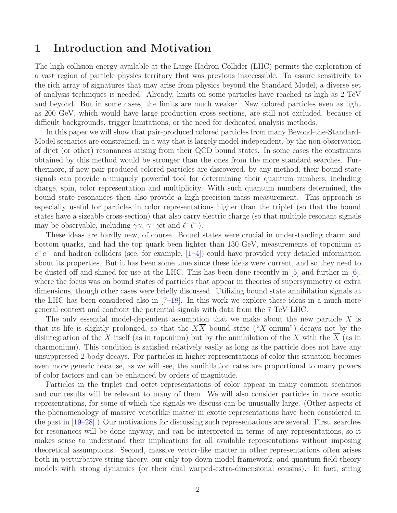## <span id="page-2-0"></span>1 Introduction and Motivation

The high collision energy available at the Large Hadron Collider (LHC) permits the exploration of a vast region of particle physics territory that was previous inaccessible. To assure sensitivity to the rich array of signatures that may arise from physics beyond the Standard Model, a diverse set of analysis techniques is needed. Already, limits on some particles have reached as high as 2 TeV and beyond. But in some cases, the limits are much weaker. New colored particles even as light as 200 GeV, which would have large production cross sections, are still not excluded, because of difficult backgrounds, trigger limitations, or the need for dedicated analysis methods.

In this paper we will show that pair-produced colored particles from many Beyond-the-Standard-Model scenarios are constrained, in a way that is largely model-independent, by the non-observation of dijet (or other) resonances arising from their QCD bound states. In some cases the constraints obtained by this method would be stronger than the ones from the more standard searches. Furthermore, if new pair-produced colored particles are discovered, by any method, their bound state signals can provide a uniquely powerful tool for determining their quantum numbers, including charge, spin, color representation and multiplicity. With such quantum numbers determined, the bound state resonances then also provide a high-precision mass measurement. This approach is especially useful for particles in color representations higher than the triplet (so that the bound states have a sizeable cross-section) that also carry electric charge (so that multiple resonant signals may be observable, including  $\gamma\gamma$ ,  $\gamma$ +jet and  $\ell^+\ell^-$ ).

These ideas are hardly new, of course. Bound states were crucial in understanding charm and bottom quarks, and had the top quark been lighter than 130 GeV, measurements of toponium at  $e^+e^-$  and hadron colliders (see, for example,  $[1-4]$ ) could have provided very detailed information about its properties. But it has been some time since these ideas were current, and so they need to be dusted off and shined for use at the LHC. This has been done recently in  $\lbrack 5\rbrack$  and further in  $\lbrack 6\rbrack$ , where the focus was on bound states of particles that appear in theories of supersymmetry or extra dimensions, though other cases were briefly discussed. Utilizing bound state annihilation signals at the LHC has been considered also in [\[7](#page-34-4)[–18](#page-35-0)]. In this work we explore these ideas in a much more general context and confront the potential signals with data from the 7 TeV LHC.

The only essential model-dependent assumption that we make about the new particle  $X$  is that its life is slightly prolonged, so that the  $X\overline{X}$  bound state ("X-onium") decays not by the disintegration of the X itself (as in toponium) but by the annihilation of the X with the X (as in charmonium). This condition is satisfied relatively easily as long as the particle does not have any unsuppressed 2-body decays. For particles in higher representations of color this situation becomes even more generic because, as we will see, the annihilation rates are proportional to many powers of color factors and can be enhanced by orders of magnitude.

Particles in the triplet and octet representations of color appear in many common scenarios and our results will be relevant to many of them. We will also consider particles in more exotic representations, for some of which the signals we discuss can be unusually large. (Other aspects of the phenomenology of massive vectorlike matter in exotic representations have been considered in the past in [\[19](#page-35-1)[–28](#page-35-2)].) Our motivations for discussing such representations are several. First, searches for resonances will be done anyway, and can be interpreted in terms of any representations, so it makes sense to understand their implications for all available representations without imposing theoretical assumptions. Second, massive vector-like matter in other representations often arises both in perturbative string theory, our only top-down model framework, and quantum field theory models with strong dynamics (or their dual warped-extra-dimensional cousins). In fact, string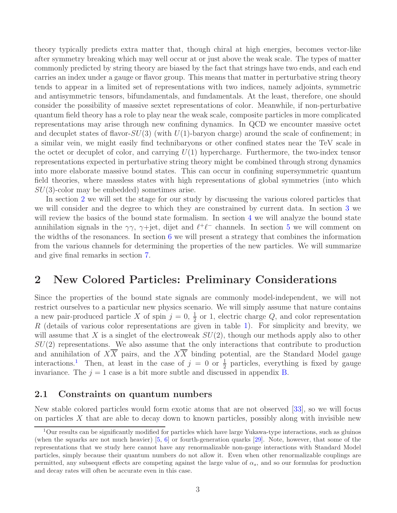theory typically predicts extra matter that, though chiral at high energies, becomes vector-like after symmetry breaking which may well occur at or just above the weak scale. The types of matter commonly predicted by string theory are biased by the fact that strings have two ends, and each end carries an index under a gauge or flavor group. This means that matter in perturbative string theory tends to appear in a limited set of representations with two indices, namely adjoints, symmetric and antisymmetric tensors, bifundamentals, and fundamentals. At the least, therefore, one should consider the possibility of massive sextet representations of color. Meanwhile, if non-perturbative quantum field theory has a role to play near the weak scale, composite particles in more complicated representations may arise through new confining dynamics. In QCD we encounter massive octet and decuplet states of flavor- $SU(3)$  (with  $U(1)$ -baryon charge) around the scale of confinement; in a similar vein, we might easily find technibaryons or other confined states near the TeV scale in the octet or decuplet of color, and carrying  $U(1)$  hypercharge. Furthermore, the two-index tensor representations expected in perturbative string theory might be combined through strong dynamics into more elaborate massive bound states. This can occur in confining supersymmetric quantum field theories, where massless states with high representations of global symmetries (into which  $SU(3)$ -color may be embedded) sometimes arise.

In section [2](#page-3-0) we will set the stage for our study by discussing the various colored particles that we will consider and the degree to which they are constrained by current data. In section [3](#page-8-0) we will review the basics of the bound state formalism. In section [4](#page-11-0) we will analyze the bound state annihilation signals in the  $\gamma\gamma$ ,  $\gamma$ +jet, dijet and  $\ell^+\ell^-$  channels. In section [5](#page-23-0) we will comment on the widths of the resonances. In section  $6 \text{ we will present a strategy that combines the information$  $6 \text{ we will present a strategy that combines the information$ from the various channels for determining the properties of the new particles. We will summarize and give final remarks in section [7.](#page-28-0)

### <span id="page-3-0"></span>2 New Colored Particles: Preliminary Considerations

Since the properties of the bound state signals are commonly model-independent, we will not restrict ourselves to a particular new physics scenario. We will simply assume that nature contains a new pair-produced particle X of spin  $j = 0, \frac{1}{2}$  or 1, electric charge Q, and color representation R (details of various color representations are given in table [1\)](#page-4-0). For simplicity and brevity, we will assume that X is a singlet of the electroweak  $SU(2)$ , though our methods apply also to other  $SU(2)$  representations. We also assume that the only interactions that contribute to production and annihilation of  $X\overline{X}$  pairs, and the  $X\overline{X}$  binding potential, are the Standard Model gauge interactions.<sup>[1](#page-3-2)</sup> Then, at least in the case of  $j = 0$  or  $\frac{1}{2}$  particles, everything is fixed by gauge invariance. The  $j = 1$  case is a bit more subtle and discussed in appendix [B.](#page-30-0)

### <span id="page-3-1"></span>2.1 Constraints on quantum numbers

New stable colored particles would form exotic atoms that are not observed [\[33](#page-35-3)], so we will focus on particles  $X$  that are able to decay down to known particles, possibly along with invisible new

<span id="page-3-2"></span> $1$ Our results can be significantly modified for particles which have large Yukawa-type interactions, such as gluinos (when the squarks are not much heavier)  $[5, 6]$  $[5, 6]$  or fourth-generation quarks  $[29]$ . Note, however, that some of the representations that we study here cannot have any renormalizable non-gauge interactions with Standard Model particles, simply because their quantum numbers do not allow it. Even when other renormalizable couplings are permitted, any subsequent effects are competing against the large value of  $\alpha_s$ , and so our formulas for production and decay rates will often be accurate even in this case.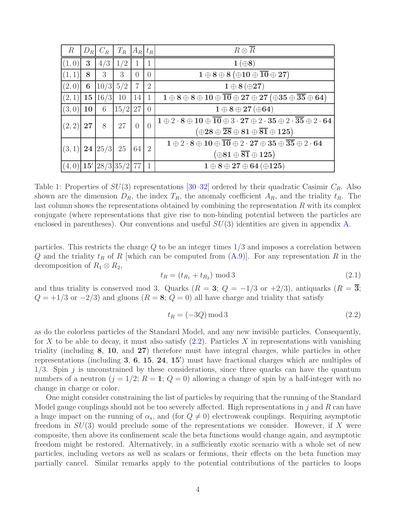| $\mathbb{R}$ | $D_R$ | $C_R$              | $T_R$ $A_R$ $t_R$ |                |                | $R\otimes \overline{R}$                                                                                                                                                                                           |
|--------------|-------|--------------------|-------------------|----------------|----------------|-------------------------------------------------------------------------------------------------------------------------------------------------------------------------------------------------------------------|
| (1,0)        | 3     | 4/3                | 1/2               |                | 1              | $1(\oplus 8)$                                                                                                                                                                                                     |
| (1, 1)       | 8     | 3                  | 3                 | $\Omega$       | $\overline{0}$ | $1 \oplus 8 \oplus 8 (\oplus 10 \oplus \overline{10} \oplus 27)$                                                                                                                                                  |
| (2,0)        | 6     | $10/3$ 5/2         |                   | $\overline{7}$ | $\overline{2}$ | $\mathbf{1} \oplus \mathbf{8} (\oplus \mathbf{27})$                                                                                                                                                               |
| (2,1)        | 15    | 16/3               | 10                | 14             | $\mathbf{1}$   | $1 \oplus 8 \oplus 8 \oplus 10 \oplus \overline{10} \oplus 27 \oplus 27 \; (\oplus 35 \oplus \overline{35} \oplus 64)$                                                                                            |
| (3,0)        | 10    | 6                  | $15/2$ 27         |                | $\theta$       | $1 \oplus 8 \oplus 27 (\oplus 64)$                                                                                                                                                                                |
| (2, 2)       | 27    | 8                  | 27                | $\theta$       | $\theta$       | $1 \oplus 2 \cdot 8 \oplus 10 \oplus \overline{10} \oplus 3 \cdot 27 \oplus 2 \cdot 35 \oplus 2 \cdot \overline{35} \oplus 2 \cdot 64$<br>$(\oplus28\oplus\overline{{28}}\oplus81\oplus\overline{{81}}\oplus125)$ |
| (3,1)        |       | 24 25/3 25         |                   | 64             | $\overline{2}$ | $1 \oplus 2 \cdot 8 \oplus 10 \oplus \overline{10} \oplus 2 \cdot 27 \oplus 35 \oplus \overline{35} \oplus 2 \cdot 64$<br>$(\oplus 81 \oplus \overline{81} \oplus 125)$                                           |
| (4,0)        |       | $15'$ 28/3 35/2 77 |                   |                | $\mathbf{1}$   | $1 \oplus 8 \oplus 27 \oplus 64 \,(\oplus 125)$                                                                                                                                                                   |

<span id="page-4-0"></span>Table 1: Properties of  $SU(3)$  representations [\[30](#page-35-5)[–32](#page-35-6)] ordered by their quadratic Casimir  $C_R$ . Also shown are the dimension  $D_R$ , the index  $T_R$ , the anomaly coefficient  $A_R$ , and the triality  $t_R$ . The last column shows the representations obtained by combining the representation  $R$  with its complex conjugate (where representations that give rise to non-binding potential between the particles are enclosed in parentheses). Our conventions and useful  $SU(3)$  identities are given in appendix [A.](#page-29-0)

particles. This restricts the charge  $Q$  to be an integer times  $1/3$  and imposes a correlation between Q and the triality  $t_R$  of R which can be computed from  $(A.9)$ . For any representation R in the decomposition of  $R_1 \otimes R_2$ ,

$$
t_R = (t_{R_1} + t_{R_2}) \mod 3 \tag{2.1}
$$

and thus triality is conserved mod 3. Quarks ( $R = 3$ ;  $Q = -1/3$  or  $+2/3$ ), antiquarks ( $R = 3$ ;  $Q = +1/3$  or  $-2/3$ ) and gluons  $(R = 8; Q = 0)$  all have charge and triality that satisfy

<span id="page-4-1"></span>
$$
t_R = (-3Q) \mod 3\tag{2.2}
$$

as do the colorless particles of the Standard Model, and any new invisible particles. Consequently, for X to be able to decay, it must also satisfy  $(2.2)$ . Particles X in representations with vanishing triality (including 8, 10, and 27) therefore must have integral charges, while particles in other representations (including 3, 6, 15, 24, 15′ ) must have fractional charges which are multiples of  $1/3$ . Spin j is unconstrained by these considerations, since three quarks can have the quantum numbers of a neutron  $(j = 1/2; R = 1; Q = 0)$  allowing a change of spin by a half-integer with no change in charge or color.

One might consider constraining the list of particles by requiring that the running of the Standard Model gauge couplings should not be too severely affected. High representations in j and R can have a huge impact on the running of  $\alpha_s$ , and (for  $Q \neq 0$ ) electroweak couplings. Requiring asymptotic freedom in  $SU(3)$  would preclude some of the representations we consider. However, if X were composite, then above its confinement scale the beta functions would change again, and asymptotic freedom might be restored. Alternatively, in a sufficiently exotic scenario with a whole set of new particles, including vectors as well as scalars or fermions, their effects on the beta function may partially cancel. Similar remarks apply to the potential contributions of the particles to loops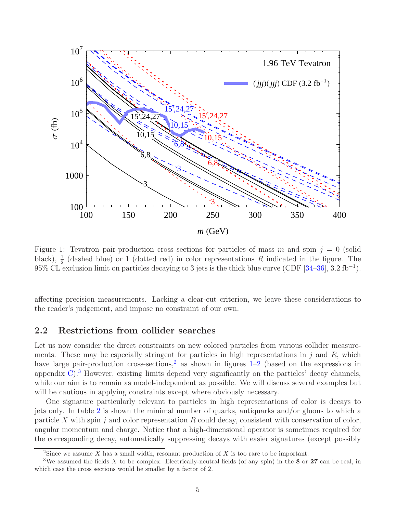

<span id="page-5-2"></span>Figure 1: Tevatron pair-production cross sections for particles of mass m and spin  $j = 0$  (solid black),  $\frac{1}{2}$  (dashed blue) or 1 (dotted red) in color representations R indicated in the figure. The 95% CL exclusion limit on particles decaying to 3 jets is the thick blue curve (CDF  $[34-36]$ , 3.2 fb<sup>-1</sup>).

affecting precision measurements. Lacking a clear-cut criterion, we leave these considerations to the reader's judgement, and impose no constraint of our own.

### <span id="page-5-0"></span>2.2 Restrictions from collider searches

Let us now consider the direct constraints on new colored particles from various collider measurements. These may be especially stringent for particles in high representations in  $j$  and  $R$ , which have large pair-production cross-sections,<sup>[2](#page-5-1)</sup> as shown in figures  $1-2$  $1-2$  (based on the expressions in appendix  $C$ ).<sup>[3](#page-5-3)</sup> However, existing limits depend very significantly on the particles' decay channels, while our aim is to remain as model-independent as possible. We will discuss several examples but will be cautious in applying constraints except where obviously necessary.

One signature particularly relevant to particles in high representations of color is decays to jets only. In table [2](#page-6-1) is shown the minimal number of quarks, antiquarks and/or gluons to which a particle X with spin j and color representation R could decay, consistent with conservation of color, angular momentum and charge. Notice that a high-dimensional operator is sometimes required for the corresponding decay, automatically suppressing decays with easier signatures (except possibly

<span id="page-5-1"></span><sup>&</sup>lt;sup>2</sup>Since we assume X has a small width, resonant production of X is too rare to be important.

<span id="page-5-3"></span><sup>&</sup>lt;sup>3</sup>We assumed the fields X to be complex. Electrically-neutral fields (of any spin) in the 8 or 27 can be real, in which case the cross sections would be smaller by a factor of 2.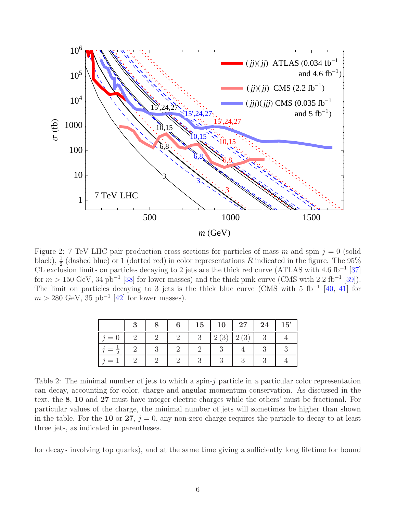

<span id="page-6-0"></span>Figure 2: 7 TeV LHC pair production cross sections for particles of mass m and spin  $j = 0$  (solid black),  $\frac{1}{2}$  (dashed blue) or 1 (dotted red) in color representations R indicated in the figure. The 95% CL exclusion limits on particles decaying to 2 jets are the thick red curve (ATLAS with 4.6 fb<sup>-1</sup> [\[37\]](#page-36-2) for  $m > 150 \text{ GeV}, 34 \text{ pb}^{-1}$  [\[38\]](#page-36-3) for lower masses) and the thick pink curve (CMS with 2.2 fb<sup>-1</sup> [\[39](#page-36-4)]). The limit on particles decaying to 3 jets is the thick blue curve (CMS with 5 fb<sup>-1</sup> [\[40](#page-36-5), [41\]](#page-36-6) for  $m > 280 \text{ GeV}, 35 \text{ pb}^{-1}$  [\[42\]](#page-36-7) for lower masses).

|     |  | 15 | 10              | $27\,$          | 24 | 15' |
|-----|--|----|-----------------|-----------------|----|-----|
| $=$ |  |    | (3)<br>$\Omega$ | (3)<br>$\Omega$ |    |     |
|     |  |    |                 |                 |    |     |
|     |  |    |                 |                 |    |     |

<span id="page-6-1"></span>Table 2: The minimal number of jets to which a spin-j particle in a particular color representation can decay, accounting for color, charge and angular momentum conservation. As discussed in the text, the 8, 10 and 27 must have integer electric charges while the others' must be fractional. For particular values of the charge, the minimal number of jets will sometimes be higher than shown in the table. For the 10 or 27,  $i = 0$ , any non-zero charge requires the particle to decay to at least three jets, as indicated in parentheses.

for decays involving top quarks), and at the same time giving a sufficiently long lifetime for bound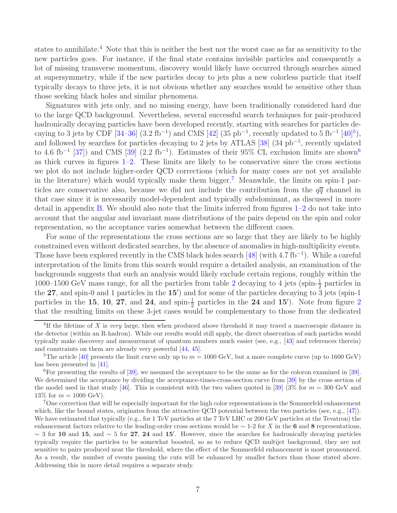states to annihilate.<sup>[4](#page-7-0)</sup> Note that this is neither the best nor the worst case as far as sensitivity to the new particles goes. For instance, if the final state contains invisible particles and consequently a lot of missing transverse momentum, discovery would likely have occurred through searches aimed at supersymmetry, while if the new particles decay to jets plus a new colorless particle that itself typically decays to three jets, it is not obvious whether any searches would be sensitive other than those seeking black holes and similar phenomena.

Signatures with jets only, and no missing energy, have been traditionally considered hard due to the large QCD background. Nevertheless, several successful search techniques for pair-produced hadronically decaying particles have been developed recently, starting with searches for particles decaying to 3 jets by CDF  $[34-36]$   $(3.2 \text{ fb}^{-1})$  and CMS  $[42]$   $(35 \text{ pb}^{-1}$  $(35 \text{ pb}^{-1}$  $(35 \text{ pb}^{-1}$ , recently updated to 5 fb<sup>-1</sup>  $[40]^{5}$  $[40]^{5}$ ), and followed by searches for particles decaying to 2 jets by ATLAS [\[38\]](#page-36-3) (34 pb<sup>-1</sup>, recently updated to 4.6 fb<sup>-1</sup> [\[37\]](#page-36-2)) and CMS [\[39\]](#page-36-4)  $(2.2 \text{ fb}^{-1})$ . Estimates of their 95% CL exclusion limits are shown<sup>[6](#page-7-2)</sup> as thick curves in figures  $1-2$ . These limits are likely to be conservative since the cross sections we plot do not include higher-order QCD corrections (which for many cases are not yet available in the literature) which would typically make them bigger.<sup>[7](#page-7-3)</sup> Meanwhile, the limits on spin-1 particles are conservative also, because we did not include the contribution from the  $q\bar{q}$  channel in that case since it is necessarily model-dependent and typically subdominant, as discussed in more detail in appendix [B.](#page-30-0) We should also note that the limits inferred from figures [1](#page-5-2)[–2](#page-6-0) do not take into account that the angular and invariant mass distributions of the pairs depend on the spin and color representation, so the acceptance varies somewhat between the different cases.

For some of the representations the cross sections are so large that they are likely to be highly constrained even without dedicated searches, by the absence of anomalies in high-multiplicity events. Those have been explored recently in the CMS black holes search  $[48]$  (with 4.7 fb<sup>-1</sup>). While a careful interpretation of the limits from this search would require a detailed analysis, an examination of the backgrounds suggests that such an analysis would likely exclude certain regions, roughly within the 1000–1500 GeV mass range, for all the particles from table [2](#page-6-1) decaying to 4 jets (spin- $\frac{1}{2}$ ) particles in the 27, and spin-0 and 1 particles in the  $15'$ ) and for some of the particles decaying to  $\overline{3}$  jets (spin-1) particles in the 15, 10, [2](#page-6-0)7, and 24, and spin- $\frac{1}{2}$  particles in the 24 and 15<sup>'</sup>). Note from figure 2 that the resulting limits on these 3-jet cases would be complementary to those from the dedicated

<span id="page-7-0"></span><sup>&</sup>lt;sup>4</sup>If the lifetime of X is very large, then when produced above threshold it may travel a macroscopic distance in the detector (within an R-hadron). While our results would still apply, the direct observation of such particles would typically make discovery and measurement of quantum numbers much easier (see, e.g., [\[43\]](#page-36-9) and references therein) and constraints on them are already very powerful [\[44,](#page-36-10) [45\]](#page-36-11).

<span id="page-7-1"></span><sup>&</sup>lt;sup>5</sup>The article [\[40](#page-36-5)] presents the limit curve only up to  $m = 1000$  GeV, but a more complete curve (up to 1600 GeV) has been presented in [\[41\]](#page-36-6).

<span id="page-7-2"></span><sup>&</sup>lt;sup>6</sup>For presenting the results of  $[39]$ , we assumed the acceptance to be the same as for the coloron examined in [\[39\]](#page-36-4). We determined the acceptance by dividing the acceptance-times-cross-section curve from [\[39](#page-36-4)] by the cross section of the model used in that study [\[46](#page-36-12)]. This is consistent with the two values quoted in [\[39](#page-36-4)] (3\% for  $m = 300$  GeV and 13\% for  $m = 1000 \text{ GeV}$ .

<span id="page-7-3"></span><sup>7</sup>One correction that will be especially important for the high color representations is the Sommerfeld enhancement which, like the bound states, originates from the attractive QCD potential between the two particles (see, e.g.,  $[47]$ ). We have estimated that typically (e.g., for 1 TeV particles at the 7 TeV LHC or 200 GeV particles at the Tevatron) the enhancement factors relative to the leading-order cross sections would be  $\sim$  1-2 for X in the 6 and 8 representations,  $\sim$  3 for 10 and 15, and  $\sim$  5 for 27, 24 and 15'. However, since the searches for hadronically decaying particles typically require the particles to be somewhat boosted, so as to reduce QCD multijet background, they are not sensitive to pairs produced near the threshold, where the effect of the Sommerfeld enhancement is most pronounced. As a result, the number of events passing the cuts will be enhanced by smaller factors than those stated above. Addressing this in more detail requires a separate study.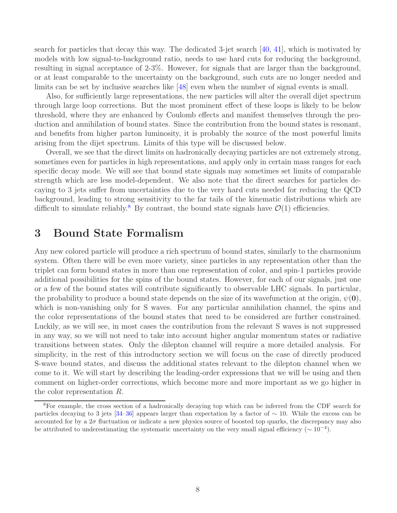search for particles that decay this way. The dedicated 3-jet search [\[40](#page-36-5), [41](#page-36-6)], which is motivated by models with low signal-to-background ratio, needs to use hard cuts for reducing the background, resulting in signal acceptance of 2-3%. However, for signals that are larger than the background, or at least comparable to the uncertainty on the background, such cuts are no longer needed and limits can be set by inclusive searches like [\[48](#page-36-8)] even when the number of signal events is small.

Also, for sufficiently large representations, the new particles will alter the overall dijet spectrum through large loop corrections. But the most prominent effect of these loops is likely to be below threshold, where they are enhanced by Coulomb effects and manifest themselves through the production and annihilation of bound states. Since the contribution from the bound states is resonant, and benefits from higher parton luminosity, it is probably the source of the most powerful limits arising from the dijet spectrum. Limits of this type will be discussed below.

Overall, we see that the direct limits on hadronically decaying particles are not extremely strong, sometimes even for particles in high representations, and apply only in certain mass ranges for each specific decay mode. We will see that bound state signals may sometimes set limits of comparable strength which are less model-dependent. We also note that the direct searches for particles decaying to 3 jets suffer from uncertainties due to the very hard cuts needed for reducing the QCD background, leading to strong sensitivity to the far tails of the kinematic distributions which are difficult to simulate reliably.<sup>[8](#page-8-1)</sup> By contrast, the bound state signals have  $\mathcal{O}(1)$  efficiencies.

## <span id="page-8-0"></span>3 Bound State Formalism

Any new colored particle will produce a rich spectrum of bound states, similarly to the charmonium system. Often there will be even more variety, since particles in any representation other than the triplet can form bound states in more than one representation of color, and spin-1 particles provide additional possibilities for the spins of the bound states. However, for each of our signals, just one or a few of the bound states will contribute significantly to observable LHC signals. In particular, the probability to produce a bound state depends on the size of its wavefunction at the origin,  $\psi(0)$ , which is non-vanishing only for S waves. For any particular annihilation channel, the spins and the color representations of the bound states that need to be considered are further constrained. Luckily, as we will see, in most cases the contribution from the relevant S waves is not suppressed in any way, so we will not need to take into account higher angular momentum states or radiative transitions between states. Only the dilepton channel will require a more detailed analysis. For simplicity, in the rest of this introductory section we will focus on the case of directly produced S-wave bound states, and discuss the additional states relevant to the dilepton channel when we come to it. We will start by describing the leading-order expressions that we will be using and then comment on higher-order corrections, which become more and more important as we go higher in the color representation R.

<span id="page-8-1"></span><sup>8</sup>For example, the cross section of a hadronically decaying top which can be inferred from the CDF search for particles decaying to 3 jets [\[34](#page-36-0)[–36\]](#page-36-1) appears larger than expectation by a factor of ∼ 10. While the excess can be accounted for by a  $2\sigma$  fluctuation or indicate a new physics source of boosted top quarks, the discrepancy may also be attributed to underestimating the systematic uncertainty on the very small signal efficiency ( $\sim 10^{-4}$ ).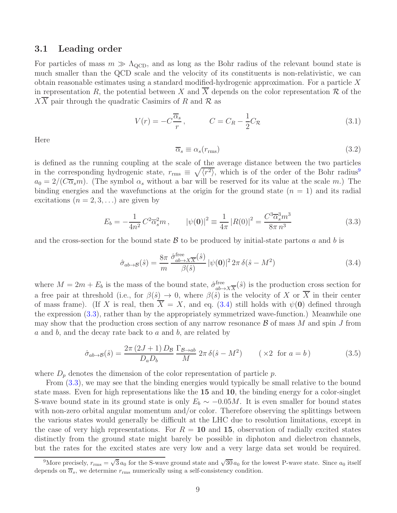#### <span id="page-9-0"></span>3.1 Leading order

For particles of mass  $m \gg \Lambda_{\text{QCD}}$ , and as long as the Bohr radius of the relevant bound state is much smaller than the QCD scale and the velocity of its constituents is non-relativistic, we can obtain reasonable estimates using a standard modified-hydrogenic approximation. For a particle  $X$ in representation R, the potential between X and  $\overline{X}$  depends on the color representation R of the XX pair through the quadratic Casimirs of R and R as

<span id="page-9-4"></span>
$$
V(r) = -C\frac{\overline{\alpha}_s}{r}, \qquad C = C_R - \frac{1}{2}C_R \tag{3.1}
$$

Here

$$
\overline{\alpha}_s \equiv \alpha_s(r_{\rm rms})\tag{3.2}
$$

is defined as the running coupling at the scale of the average distance between the two particles in the corresponding hydrogenic state,  $r_{\text{rms}} \equiv \sqrt{\langle r^2 \rangle}$ , which is of the order of the Bohr radius<sup>[9](#page-9-1)</sup>  $a_0 = 2/(C\overline{\alpha}_s m)$ . (The symbol  $\alpha_s$  without a bar will be reserved for its value at the scale m.) The binding energies and the wavefunctions at the origin for the ground state  $(n = 1)$  and its radial excitations  $(n = 2, 3, ...)$  are given by

<span id="page-9-3"></span>
$$
E_b = -\frac{1}{4n^2} C^2 \overline{\alpha}_s^2 m \,, \qquad |\psi(\mathbf{0})|^2 \equiv \frac{1}{4\pi} |R(0)|^2 = \frac{C^3 \overline{\alpha}_s^3 m^3}{8\pi n^3} \tag{3.3}
$$

and the cross-section for the bound state  $\beta$  to be produced by initial-state partons a and b is

<span id="page-9-2"></span>
$$
\hat{\sigma}_{ab \to \mathcal{B}}(\hat{s}) = \frac{8\pi}{m} \frac{\hat{\sigma}_{ab \to X\overline{X}}^{\text{free}}(\hat{s})}{\beta(\hat{s})} |\psi(\mathbf{0})|^2 2\pi \delta(\hat{s} - M^2)
$$
\n(3.4)

where  $M = 2m + E_b$  is the mass of the bound state,  $\hat{\sigma}_{ab}^{\text{free}}$  $\lim_{ab \to X\overline{X}} (\hat{s})$  is the production cross section for a free pair at threshold (i.e., for  $\beta(\hat{s}) \to 0$ , where  $\beta(\hat{s})$  is the velocity of X or  $\overline{X}$  in their center of mass frame). (If X is real, then  $\overline{X} = X$ , and eq. [\(3.4\)](#page-9-2) still holds with  $\psi(0)$  defined through the expression [\(3.3\)](#page-9-3), rather than by the appropriately symmetrized wave-function.) Meanwhile one may show that the production cross section of any narrow resonance  $\beta$  of mass M and spin J from a and b, and the decay rate back to a and b, are related by

$$
\hat{\sigma}_{ab \to B}(\hat{s}) = \frac{2\pi (2J+1) D_B}{D_a D_b} \frac{\Gamma_{\mathcal{B} \to ab}}{M} 2\pi \delta(\hat{s} - M^2) \qquad (\times 2 \text{ for } a = b)
$$
\n(3.5)

where  $D_p$  denotes the dimension of the color representation of particle  $p$ .

From [\(3.3\)](#page-9-3), we may see that the binding energies would typically be small relative to the bound state mass. Even for high representations like the 15 and 10, the binding energy for a color-singlet S-wave bound state in its ground state is only  $E_b \sim -0.05M$ . It is even smaller for bound states with non-zero orbital angular momentum and/or color. Therefore observing the splittings between the various states would generally be difficult at the LHC due to resolution limitations, except in the case of very high representations. For  $R = 10$  and 15, observation of radially excited states distinctly from the ground state might barely be possible in diphoton and dielectron channels, but the rates for the excited states are very low and a very large data set would be required.

<span id="page-9-1"></span><sup>&</sup>lt;sup>9</sup>More precisely,  $r_{\rm rms} = \sqrt{3} a_0$  for the S-wave ground state and  $\sqrt{30} a_0$  for the lowest P-wave state. Since  $a_0$  itself depends on  $\overline{\alpha}_s$ , we determine  $r_{\text{rms}}$  numerically using a self-consistency condition.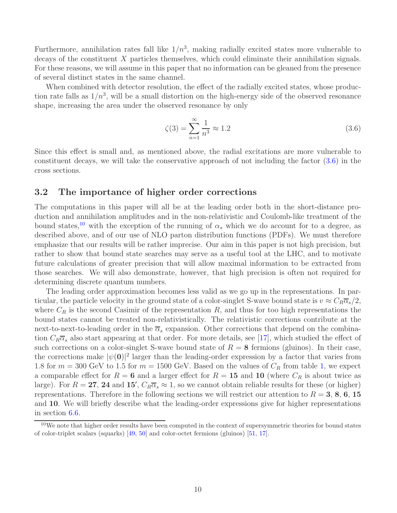Furthermore, annihilation rates fall like  $1/n^3$ , making radially excited states more vulnerable to decays of the constituent X particles themselves, which could eliminate their annihilation signals. For these reasons, we will assume in this paper that no information can be gleaned from the presence of several distinct states in the same channel.

When combined with detector resolution, the effect of the radially excited states, whose production rate falls as  $1/n^3$ , will be a small distortion on the high-energy side of the observed resonance shape, increasing the area under the observed resonance by only

<span id="page-10-1"></span>
$$
\zeta(3) = \sum_{n=1}^{\infty} \frac{1}{n^3} \approx 1.2
$$
\n(3.6)

Since this effect is small and, as mentioned above, the radial excitations are more vulnerable to constituent decays, we will take the conservative approach of not including the factor [\(3.6\)](#page-10-1) in the cross sections.

### <span id="page-10-0"></span>3.2 The importance of higher order corrections

The computations in this paper will all be at the leading order both in the short-distance production and annihilation amplitudes and in the non-relativistic and Coulomb-like treatment of the bound states,<sup>[10](#page-10-2)</sup> with the exception of the running of  $\alpha_s$  which we do account for to a degree, as described above, and of our use of NLO parton distribution functions (PDFs). We must therefore emphasize that our results will be rather imprecise. Our aim in this paper is not high precision, but rather to show that bound state searches may serve as a useful tool at the LHC, and to motivate future calculations of greater precision that will allow maximal information to be extracted from those searches. We will also demonstrate, however, that high precision is often not required for determining discrete quantum numbers.

The leading order approximation becomes less valid as we go up in the representations. In particular, the particle velocity in the ground state of a color-singlet S-wave bound state is  $v \approx C_R \overline{\alpha}_s/2$ , where  $C_R$  is the second Casimir of the representation R, and thus for too high representations the bound states cannot be treated non-relativistically. The relativistic corrections contribute at the next-to-next-to-leading order in the  $\overline{\alpha}_s$  expansion. Other corrections that depend on the combination  $C_R\overline{\alpha}_s$  also start appearing at that order. For more details, see [\[17](#page-35-7)], which studied the effect of such corrections on a color-singlet S-wave bound state of  $R = 8$  fermions (gluinos). In their case, the corrections make  $|\psi(\mathbf{0})|^2$  larger than the leading-order expression by a factor that varies from 1.8 for  $m = 300$  GeV to 1.5 for  $m = 1500$  GeV. Based on the values of  $C_R$  from table [1,](#page-4-0) we expect a comparable effect for  $R = 6$  and a larger effect for  $R = 15$  and 10 (where  $C_R$  is about twice as large). For  $R = 27$ , 24 and 15',  $C_R \overline{\alpha}_s \approx 1$ , so we cannot obtain reliable results for these (or higher) representations. Therefore in the following sections we will restrict our attention to  $R = 3, 8, 6, 15$ and 10. We will briefly describe what the leading-order expressions give for higher representations in section [6.6.](#page-27-0)

<span id="page-10-2"></span><sup>&</sup>lt;sup>10</sup>We note that higher order results have been computed in the context of supersymmetric theories for bound states of color-triplet scalars (squarks) [\[49](#page-36-14), [50](#page-37-0)] and color-octet fermions (gluinos) [\[51,](#page-37-1) [17\]](#page-35-7).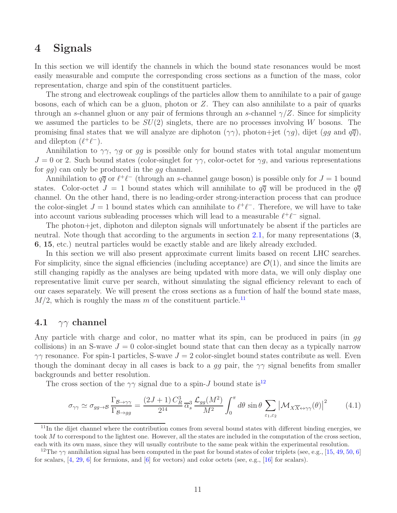## <span id="page-11-0"></span>4 Signals

In this section we will identify the channels in which the bound state resonances would be most easily measurable and compute the corresponding cross sections as a function of the mass, color representation, charge and spin of the constituent particles.

The strong and electroweak couplings of the particles allow them to annihilate to a pair of gauge bosons, each of which can be a gluon, photon or Z. They can also annihilate to a pair of quarks through an s-channel gluon or any pair of fermions through an s-channel  $\gamma/Z$ . Since for simplicity we assumed the particles to be  $SU(2)$  singlets, there are no processes involving W bosons. The promising final states that we will analyze are diphoton  $(\gamma\gamma)$ , photon+jet  $(\gamma g)$ , dijet  $(gg \text{ and } g\overline{g})$ , and dilepton  $(\ell^+\ell^-)$ .

Annihilation to  $\gamma\gamma$ ,  $\gamma g$  or gg is possible only for bound states with total angular momentum  $J = 0$  or 2. Such bound states (color-singlet for  $\gamma \gamma$ , color-octet for  $\gamma g$ , and various representations for gg) can only be produced in the gg channel.

Annihilation to  $q\bar{q}$  or  $\ell^+\ell^-$  (through an s-channel gauge boson) is possible only for  $J=1$  bound states. Color-octet  $J = 1$  bound states which will annihilate to  $q\overline{q}$  will be produced in the  $q\overline{q}$ channel. On the other hand, there is no leading-order strong-interaction process that can produce the color-singlet  $J = 1$  bound states which can annihilate to  $\ell^+ \ell^-$ . Therefore, we will have to take into account various subleading processes which will lead to a measurable  $\ell^+\ell^-$  signal.

The photon+jet, diphoton and dilepton signals will unfortunately be absent if the particles are neutral. Note though that according to the arguments in section [2.1,](#page-3-1) for many representations  $(3, 1)$ 6, 15, etc.) neutral particles would be exactly stable and are likely already excluded.

In this section we will also present approximate current limits based on recent LHC searches. For simplicity, since the signal efficiencies (including acceptance) are  $\mathcal{O}(1)$ , and since the limits are still changing rapidly as the analyses are being updated with more data, we will only display one representative limit curve per search, without simulating the signal efficiency relevant to each of our cases separately. We will present the cross sections as a function of half the bound state mass,  $M/2$ , which is roughly the mass m of the constituent particle.<sup>[11](#page-11-2)</sup>

### <span id="page-11-1"></span>4.1  $\gamma\gamma$  channel

Any particle with charge and color, no matter what its spin, can be produced in pairs (in gg collisions) in an S-wave  $J = 0$  color-singlet bound state that can then decay as a typically narrow  $\gamma\gamma$  resonance. For spin-1 particles, S-wave  $J = 2$  color-singlet bound states contribute as well. Even though the dominant decay in all cases is back to a gg pair, the  $\gamma\gamma$  signal benefits from smaller backgrounds and better resolution.

The cross section of the  $\gamma\gamma$  signal due to a spin-J bound state is<sup>[12](#page-11-3)</sup>

$$
\sigma_{\gamma\gamma} \simeq \sigma_{gg \to \mathcal{B}} \frac{\Gamma_{\mathcal{B} \to \gamma\gamma}}{\Gamma_{\mathcal{B} \to gg}} = \frac{(2J+1) C_R^3}{2^{14}} \overline{\alpha}_s^3 \frac{\mathcal{L}_{gg}(M^2)}{M^2} \int_0^\pi d\theta \sin\theta \sum_{\varepsilon_1, \varepsilon_2} \left| \mathcal{M}_{X \overline{X} \leftrightarrow \gamma\gamma}(\theta) \right|^2 \tag{4.1}
$$

<span id="page-11-2"></span> $11$ In the dijet channel where the contribution comes from several bound states with different binding energies, we took M to correspond to the lightest one. However, all the states are included in the computation of the cross section, each with its own mass, since they will usually contribute to the same peak within the experimental resolution.

<span id="page-11-3"></span><sup>&</sup>lt;sup>12</sup>The  $\gamma\gamma$  annihilation signal has been computed in the past for bound states of color triplets (see, e.g., [\[15,](#page-34-5) [49,](#page-36-14) [50,](#page-37-0) [6](#page-34-3)] for scalars,  $[4, 29, 6]$  $[4, 29, 6]$  $[4, 29, 6]$  $[4, 29, 6]$  $[4, 29, 6]$  for fermions, and  $[6]$  for vectors) and color octets (see, e.g., [\[16](#page-35-8)] for scalars).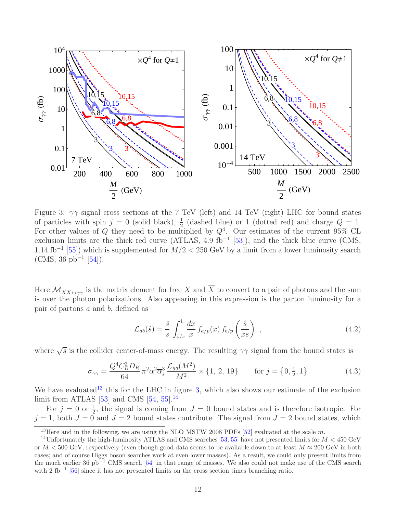

<span id="page-12-1"></span>Figure 3:  $\gamma\gamma$  signal cross sections at the 7 TeV (left) and 14 TeV (right) LHC for bound states of particles with spin  $j = 0$  (solid black),  $\frac{1}{2}$  (dashed blue) or 1 (dotted red) and charge  $Q = 1$ . For other values of Q they need to be multiplied by  $Q^4$ . Our estimates of the current 95% CL exclusion limits are the thick red curve (ATLAS, 4.9 fb<sup>-1</sup> [\[53\]](#page-37-2)), and the thick blue curve (CMS, 1.14 fb<sup>-1</sup> [\[55](#page-37-3)]) which is supplemented for  $M/2 < 250$  GeV by a limit from a lower luminosity search  $(CMS, 36 pb<sup>-1</sup> [54]).$  $(CMS, 36 pb<sup>-1</sup> [54]).$  $(CMS, 36 pb<sup>-1</sup> [54]).$ 

Here  $\mathcal{M}_{X\overline{X}\leftrightarrow\gamma\gamma}$  is the matrix element for free X and  $\overline{X}$  to convert to a pair of photons and the sum is over the photon polarizations. Also appearing in this expression is the parton luminosity for a pair of partons a and b, defined as

$$
\mathcal{L}_{ab}(\hat{s}) = \frac{\hat{s}}{s} \int_{\hat{s}/s}^{1} \frac{dx}{x} f_{a/p}(x) f_{b/p}\left(\frac{\hat{s}}{xs}\right) , \qquad (4.2)
$$

where  $\sqrt{s}$  is the collider center-of-mass energy. The resulting  $\gamma\gamma$  signal from the bound states is

<span id="page-12-3"></span>
$$
\sigma_{\gamma\gamma} = \frac{Q^4 C_R^3 D_R}{64} \pi^2 \alpha^2 \overline{\alpha}_s^3 \frac{\mathcal{L}_{gg}(M^2)}{M^2} \times \{1, 2, 19\} \quad \text{for } j = \{0, \frac{1}{2}, 1\}
$$
 (4.3)

We have evaluated<sup>[13](#page-12-0)</sup> this for the LHC in figure [3,](#page-12-1) which also shows our estimate of the exclusion limit from ATLAS  $[53]$  and CMS  $[54, 55]$  $[54, 55]$ .<sup>[14](#page-12-2)</sup>

For  $j = 0$  or  $\frac{1}{2}$ , the signal is coming from  $J = 0$  bound states and is therefore isotropic. For  $j = 1$ , both  $J = 0$  and  $J = 2$  bound states contribute. The signal from  $J = 2$  bound states, which

<span id="page-12-0"></span><sup>&</sup>lt;sup>13</sup>Here and in the following, we are using the NLO MSTW 2008 PDFs [\[52\]](#page-37-5) evaluated at the scale m.

<span id="page-12-2"></span><sup>&</sup>lt;sup>14</sup>Unfortunately the high-luminosity ATLAS and CMS searches [\[53,](#page-37-2) [55](#page-37-3)] have not presented limits for  $M < 450 \text{ GeV}$ or  $M < 500$  GeV, respectively (even though good data seems to be available down to at least  $M \approx 200$  GeV in both cases; and of course Higgs boson searches work at even lower masses). As a result, we could only present limits from the much earlier 36 pb<sup>−</sup><sup>1</sup> CMS search [\[54\]](#page-37-4) in that range of masses. We also could not make use of the CMS search with 2 fb<sup>-1</sup> [\[56\]](#page-37-6) since it has not presented limits on the cross section times branching ratio.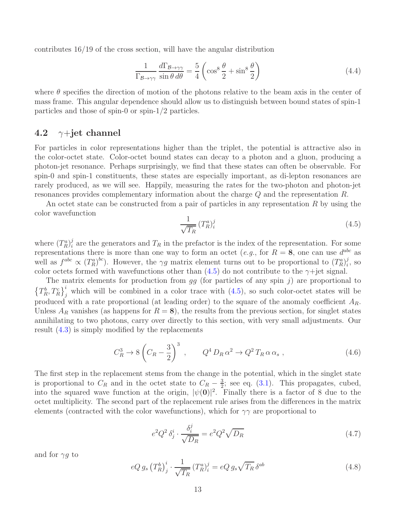contributes 16/19 of the cross section, will have the angular distribution

<span id="page-13-2"></span>
$$
\frac{1}{\Gamma_{\mathcal{B}\to\gamma\gamma}} \frac{d\Gamma_{\mathcal{B}\to\gamma\gamma}}{\sin\theta \,d\theta} = \frac{5}{4} \left( \cos^8 \frac{\theta}{2} + \sin^8 \frac{\theta}{2} \right) \tag{4.4}
$$

where  $\theta$  specifies the direction of motion of the photons relative to the beam axis in the center of mass frame. This angular dependence should allow us to distinguish between bound states of spin-1 particles and those of spin-0 or spin-1/2 particles.

### <span id="page-13-0"></span>4.2  $\gamma$ +jet channel

For particles in color representations higher than the triplet, the potential is attractive also in the color-octet state. Color-octet bound states can decay to a photon and a gluon, producing a photon-jet resonance. Perhaps surprisingly, we find that these states can often be observable. For spin-0 and spin-1 constituents, these states are especially important, as di-lepton resonances are rarely produced, as we will see. Happily, measuring the rates for the two-photon and photon-jet resonances provides complementary information about the charge Q and the representation R.

An octet state can be constructed from a pair of particles in any representation R by using the color wavefunction

<span id="page-13-1"></span>
$$
\frac{1}{\sqrt{T_R}} \left( T_R^a \right)_i^j \tag{4.5}
$$

where  $(T_R^a)_i^j$ <sup>*i*</sup> are the generators and  $T_R$  in the prefactor is the index of the representation. For some representations there is more than one way to form an octet (*e.g.*, for  $R = 8$ , one can use  $d^{abc}$  as well as  $f^{abc} \propto (T_R^a)^{bc}$ . However, the  $\gamma g$  matrix element turns out to be proportional to  $(T_R^a)^j_i$  $i^j$ , so color octets formed with wavefunctions other than  $(4.5)$  do not contribute to the  $\gamma$ +jet signal.

The matrix elements for production from  $gg$  (for particles of any spin j) are proportional to  $\left\{T_R^b, T_R^c\right\}_j^i$  which will be combined in a color trace with [\(4.5\)](#page-13-1), so such color-octet states will be produced with a rate proportional (at leading order) to the square of the anomaly coefficient  $A_R$ . Unless  $A_R$  vanishes (as happens for  $R = 8$ ), the results from the previous section, for singlet states annihilating to two photons, carry over directly to this section, with very small adjustments. Our result [\(4.3\)](#page-12-3) is simply modified by the replacements

$$
C_R^3 \to 8\left(C_R - \frac{3}{2}\right)^3 \,, \qquad Q^4 D_R \alpha^2 \to Q^2 T_R \alpha \alpha_s \,, \tag{4.6}
$$

The first step in the replacement stems from the change in the potential, which in the singlet state is proportional to  $C_R$  and in the octet state to  $C_R - \frac{3}{2}$  $\frac{3}{2}$ ; see eq. [\(3.1\)](#page-9-4). This propagates, cubed, into the squared wave function at the origin,  $|\psi(0)|^2$ . Finally there is a factor of 8 due to the octet multiplicity. The second part of the replacement rule arises from the differences in the matrix elements (contracted with the color wavefunctions), which for  $\gamma\gamma$  are proportional to

$$
e^2 Q^2 \delta_j^i \cdot \frac{\delta_i^j}{\sqrt{D_R}} = e^2 Q^2 \sqrt{D_R} \tag{4.7}
$$

and for  $\gamma g$  to

$$
eQ g_s \left(T_R^b\right)^i_j \cdot \frac{1}{\sqrt{T_R}} \left(T_R^a\right)^j_i = eQ g_s \sqrt{T_R} \delta^{ab} \tag{4.8}
$$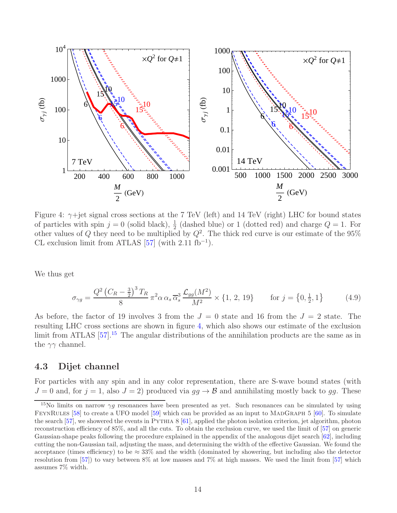

<span id="page-14-1"></span>Figure 4:  $\gamma$ +jet signal cross sections at the 7 TeV (left) and 14 TeV (right) LHC for bound states of particles with spin  $j = 0$  (solid black),  $\frac{1}{2}$  (dashed blue) or 1 (dotted red) and charge  $Q = 1$ . For other values of Q they need to be multiplied by  $Q^2$ . The thick red curve is our estimate of the 95% CL exclusion limit from ATLAS  $[57]$  (with 2.11 fb<sup>-1</sup>).

We thus get

$$
\sigma_{\gamma g} = \frac{Q^2 \left(C_R - \frac{3}{2}\right)^3 T_R}{8} \pi^2 \alpha \alpha_s \overline{\alpha}_s^3 \frac{\mathcal{L}_{gg}(M^2)}{M^2} \times \{1, 2, 19\} \quad \text{for } j = \{0, \frac{1}{2}, 1\}
$$
 (4.9)

As before, the factor of 19 involves 3 from the  $J = 0$  state and 16 from the  $J = 2$  state. The resulting LHC cross sections are shown in figure [4,](#page-14-1) which also shows our estimate of the exclusion limit from ATLAS [\[57](#page-37-7)].<sup>[15](#page-14-2)</sup> The angular distributions of the annihilation products are the same as in the  $\gamma\gamma$  channel.

### <span id="page-14-0"></span>4.3 Dijet channel

For particles with any spin and in any color representation, there are S-wave bound states (with  $J = 0$  and, for  $j = 1$ , also  $J = 2$ ) produced via  $gg \to \mathcal{B}$  and annihilating mostly back to gg. These

<span id="page-14-2"></span><sup>&</sup>lt;sup>15</sup>No limits on narrow  $\gamma g$  resonances have been presented as yet. Such resonances can be simulated by using FEYNRULES [\[58](#page-37-8)] to create a UFO model [\[59\]](#page-37-9) which can be provided as an input to MADGRAPH 5 [\[60](#page-37-10)]. To simulate the search [\[57\]](#page-37-7), we showered the events in PYTHIA 8 [\[61\]](#page-37-11), applied the photon isolation criterion, jet algorithm, photon reconstruction efficiency of 85%, and all the cuts. To obtain the exclusion curve, we used the limit of [\[57](#page-37-7)] on generic Gaussian-shape peaks following the procedure explained in the appendix of the analogous dijet search [\[62\]](#page-37-12), including cutting the non-Gaussian tail, adjusting the mass, and determining the width of the effective Gaussian. We found the acceptance (times efficiency) to be  $\approx 33\%$  and the width (dominated by showering, but including also the detector resolution from [\[57\]](#page-37-7)) to vary between 8% at low masses and 7% at high masses. We used the limit from [\[57\]](#page-37-7) which assumes 7% width.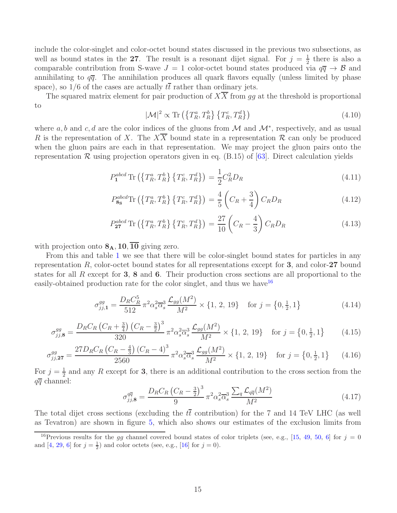include the color-singlet and color-octet bound states discussed in the previous two subsections, as well as bound states in the 27. The result is a resonant dijet signal. For  $j = \frac{1}{2}$  $\frac{1}{2}$  there is also a comparable contribution from S-wave  $J = 1$  color-octet bound states produced via  $q\bar{q} \to \mathcal{B}$  and annihilating to  $q\bar{q}$ . The annihilation produces all quark flavors equally (unless limited by phase space), so  $1/6$  of the cases are actually  $t\bar{t}$  rather than ordinary jets.

The squared matrix element for pair production of  $X\overline{X}$  from gg at the threshold is proportional to

$$
|\mathcal{M}|^2 \propto \text{Tr}\left(\left\{T_R^a, T_R^b\right\} \left\{T_R^c, T_R^d\right\}\right) \tag{4.10}
$$

where a, b and c, d are the color indices of the gluons from M and  $\mathcal{M}^*$ , respectively, and as usual R is the representation of X. The  $X\overline{X}$  bound state in a representation R can only be produced when the gluon pairs are each in that representation. We may project the gluon pairs onto the representation  $\mathcal R$  using projection operators given in eq. (B.15) of [\[63](#page-37-13)]. Direct calculation yields

$$
P_1^{abcd} \text{Tr}\left(\left\{T_R^a, T_R^b\right\} \left\{T_R^c, T_R^d\right\}\right) = \frac{1}{2} C_R^2 D_R \tag{4.11}
$$

$$
P_{\mathbf{8s}}^{abcd} \text{Tr}\left(\left\{T_R^a, T_R^b\right\} \left\{T_R^c, T_R^d\right\}\right) = \frac{4}{5} \left(C_R + \frac{3}{4}\right) C_R D_R \tag{4.12}
$$

$$
P_{27}^{abcd} \text{Tr}\left(\left\{T_R^a, T_R^b\right\} \left\{T_R^c, T_R^d\right\}\right) = \frac{27}{10} \left(C_R - \frac{4}{3}\right) C_R D_R \tag{4.13}
$$

with projection onto  $\mathbf{8}_{\mathbf{A}}$ , 10,  $\overline{10}$  giving zero.

From this and table [1](#page-4-0) we see that there will be color-singlet bound states for particles in any representation R, color-octet bound states for all representations except for 3, and color-27 bound states for all  $R$  except for  $3, 8$  and  $6$ . Their production cross sections are all proportional to the easily-obtained production rate for the color singlet, and thus we have  $16$ 

<span id="page-15-1"></span>
$$
\sigma_{jj,1}^{gg} = \frac{D_R C_R^5}{512} \pi^2 \alpha_s^2 \overline{\alpha}_s^3 \frac{\mathcal{L}_{gg}(M^2)}{M^2} \times \{1, 2, 19\} \quad \text{for } j = \{0, \frac{1}{2}, 1\}
$$
 (4.14)

$$
\sigma_{jj,8}^{gg} = \frac{D_R C_R \left(C_R + \frac{3}{4}\right) \left(C_R - \frac{3}{2}\right)^3}{320} \pi^2 \alpha_s^2 \overline{\alpha_s^3} \frac{\mathcal{L}_{gg}(M^2)}{M^2} \times \{1, 2, 19\} \quad \text{for } j = \{0, \frac{1}{2}, 1\}
$$
(4.15)

$$
\sigma_{jj,27}^{gg} = \frac{27D_R C_R (C_R - \frac{4}{3}) (C_R - 4)^3}{2560} \pi^2 \alpha_s^2 \overline{\alpha}_s^3 \frac{\mathcal{L}_{gg}(M^2)}{M^2} \times \{1, 2, 19\} \quad \text{for } j = \{0, \frac{1}{2}, 1\} \tag{4.16}
$$

For  $j=\frac{1}{2}$  $\frac{1}{2}$  and any R except for 3, there is an additional contribution to the cross section from the  $q\overline{q}$  channel:

<span id="page-15-2"></span>
$$
\sigma_{jj,8}^{q\overline{q}} = \frac{D_R C_R \left(C_R - \frac{3}{2}\right)^3}{9} \pi^2 \alpha_s^2 \overline{\alpha}_s^3 \frac{\sum_q \mathcal{L}_{q\overline{q}}(M^2)}{M^2} \tag{4.17}
$$

The total dijet cross sections (excluding the  $t\bar{t}$  contribution) for the 7 and 14 TeV LHC (as well as Tevatron) are shown in figure [5,](#page-16-0) which also shows our estimates of the exclusion limits from

<span id="page-15-0"></span><sup>&</sup>lt;sup>16</sup>Previous results for the gg channel covered bound states of color triplets (see, e.g., [\[15,](#page-34-5) [49,](#page-36-14) [50,](#page-37-0) [6\]](#page-34-3) for  $j = 0$ and [\[4](#page-34-1), [29,](#page-35-4) [6\]](#page-34-3) for  $j = \frac{1}{2}$  and color octets (see, e.g., [\[16\]](#page-35-8) for  $j = 0$ ).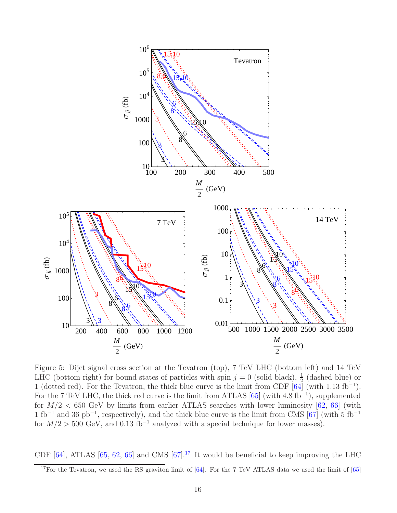

<span id="page-16-0"></span>Figure 5: Dijet signal cross section at the Tevatron (top), 7 TeV LHC (bottom left) and 14 TeV LHC (bottom right) for bound states of particles with spin  $j = 0$  (solid black),  $\frac{1}{2}$  (dashed blue) or 1 (dotted red). For the Tevatron, the thick blue curve is the limit from CDF  $[64]$  (with 1.13 fb<sup>-1</sup>). For the 7 TeV LHC, the thick red curve is the limit from ATLAS  $[65]$  (with 4.8 fb<sup>-1</sup>), supplemented for  $M/2 < 650$  GeV by limits from earlier ATLAS searches with lower luminosity [\[62,](#page-37-12) [66\]](#page-38-1) (with 1 fb<sup>-1</sup> and 36 pb<sup>-1</sup>, respectively), and the thick blue curve is the limit from CMS [\[67\]](#page-38-2) (with 5 fb<sup>-1</sup> for  $M/2 > 500$  GeV, and 0.13 fb<sup>-1</sup> analyzed with a special technique for lower masses).

CDF  $[64]$ , ATLAS  $[65, 62, 66]$  $[65, 62, 66]$  $[65, 62, 66]$  $[65, 62, 66]$  and CMS  $[67]$ .<sup>[17](#page-16-1)</sup> It would be beneficial to keep improving the LHC

<span id="page-16-1"></span><sup>&</sup>lt;sup>17</sup>For the Tevatron, we used the RS graviton limit of [\[64\]](#page-37-14). For the 7 TeV ATLAS data we used the limit of [\[65](#page-38-0)]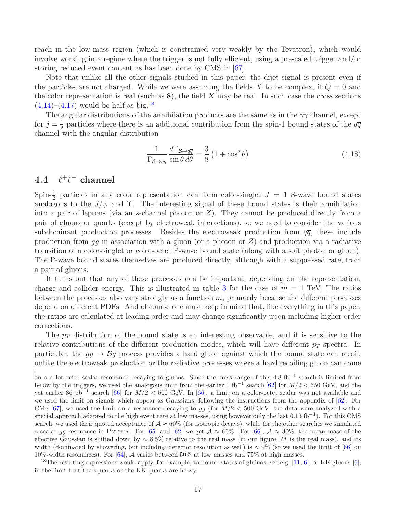reach in the low-mass region (which is constrained very weakly by the Tevatron), which would involve working in a regime where the trigger is not fully efficient, using a prescaled trigger and/or storing reduced event content as has been done by CMS in [\[67\]](#page-38-2).

Note that unlike all the other signals studied in this paper, the dijet signal is present even if the particles are not charged. While we were assuming the fields X to be complex, if  $Q = 0$  and the color representation is real (such as  $\mathbf{8}$ ), the field X may be real. In such case the cross sections  $(4.14)$ – $(4.17)$  would be half as big.<sup>[18](#page-17-1)</sup>

The angular distributions of the annihilation products are the same as in the  $\gamma\gamma$  channel, except for  $j=\frac{1}{2}$  $\frac{1}{2}$  particles where there is an additional contribution from the spin-1 bound states of the  $q\overline{q}$ channel with the angular distribution

<span id="page-17-2"></span>
$$
\frac{1}{\Gamma_{\mathcal{B}\to q\overline{q}}} \frac{d\Gamma_{\mathcal{B}\to q\overline{q}}}{\sin\theta \,d\theta} = \frac{3}{8} \left( 1 + \cos^2 \theta \right) \tag{4.18}
$$

#### <span id="page-17-0"></span> $4.4$  $^+\ell^-$  channel

Spin- $\frac{1}{2}$  particles in any color representation can form color-singlet  $J = 1$  S-wave bound states analogous to the  $J/\psi$  and  $\Upsilon$ . The interesting signal of these bound states is their annihilation into a pair of leptons (via an s-channel photon or  $Z$ ). They cannot be produced directly from a pair of gluons or quarks (except by electroweak interactions), so we need to consider the various subdominant production processes. Besides the electroweak production from  $q\bar{q}$ , these include production from  $gg$  in association with a gluon (or a photon or  $Z$ ) and production via a radiative transition of a color-singlet or color-octet P-wave bound state (along with a soft photon or gluon). The P-wave bound states themselves are produced directly, although with a suppressed rate, from a pair of gluons.

It turns out that any of these processes can be important, depending on the representation, charge and collider energy. This is illustrated in table [3](#page-18-1) for the case of  $m = 1$  TeV. The ratios between the processes also vary strongly as a function  $m$ , primarily because the different processes depend on different PDFs. And of course one must keep in mind that, like everything in this paper, the ratios are calculated at leading order and may change significantly upon including higher order corrections.

The  $p_T$  distribution of the bound state is an interesting observable, and it is sensitive to the relative contributions of the different production modes, which will have different  $p<sub>T</sub>$  spectra. In particular, the  $gg \to \mathcal{B}g$  process provides a hard gluon against which the bound state can recoil, unlike the electroweak production or the radiative processes where a hard recoiling gluon can come

on a color-octet scalar resonance decaying to gluons. Since the mass range of this 4.8 fb<sup>-1</sup> search is limited from below by the triggers, we used the analogous limit from the earlier 1 fb<sup>-1</sup> search [\[62\]](#page-37-12) for  $M/2 < 650$  GeV, and the yet earlier 36 pb<sup>-1</sup> search [\[66](#page-38-1)] for  $M/2 < 500$  GeV. In [66], a limit on a color-octet scalar was not available and we used the limit on signals which appear as Gaussians, following the instructions from the appendix of [\[62](#page-37-12)]. For CMS [\[67\]](#page-38-2), we used the limit on a resonance decaying to  $gg$  (for  $M/2 < 500$  GeV, the data were analyzed with a special approach adapted to the high event rate at low masses, using however only the last  $0.13 \text{ fb}^{-1}$ ). For this CMS search, we used their quoted acceptance of  $A \approx 60\%$  (for isotropic decays), while for the other searches we simulated a scalar gg resonance in PYTHIA. For [\[65\]](#page-38-0) and [\[62](#page-37-12)] we get  $A \approx 60\%$ . For [\[66\]](#page-38-1),  $A \approx 30\%$ , the mean mass of the effective Gaussian is shifted down by  $\approx 8.5\%$  relative to the real mass (in our figure, M is the real mass), and its width (dominated by showering, but including detector resolution as well) is  $\approx 9\%$  (so we used the limit of [\[66](#page-38-1)] on 10%-width resonances). For [\[64\]](#page-37-14), A varies between 50% at low masses and 75% at high masses.

<span id="page-17-1"></span><sup>&</sup>lt;sup>18</sup>The resulting expressions would apply, for example, to bound states of gluinos, see e.g. [\[11,](#page-34-6) [6\]](#page-34-3), or KK gluons [\[6\]](#page-34-3), in the limit that the squarks or the KK quarks are heavy.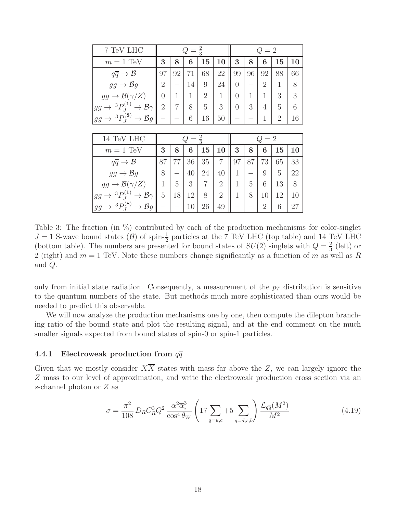| 7 TeV LHC                                                                                                            |                |                | Q<br>$=$ | $\frac{2}{3}$  |                | $=2$<br>Q |    |                |                |    |  |
|----------------------------------------------------------------------------------------------------------------------|----------------|----------------|----------|----------------|----------------|-----------|----|----------------|----------------|----|--|
| $m=1$ TeV                                                                                                            | 3              | 8              | 6        | 15             | 10             | 3         | 8  | 6              | 15             | 10 |  |
| $q\overline{q} \to \mathcal{B}$                                                                                      | 97             | 92             | 71       | 68             | 22             | 99        | 96 | 92             | 88             | 66 |  |
| $gg \to \mathcal{B}q$                                                                                                | 2              |                | 14       | 9              | 24             | 0         |    | $\overline{2}$ | 1              | 8  |  |
| $gg \to \mathcal{B}(\gamma/Z)$                                                                                       | 0              | $\mathbf{1}$   | 1        | $\overline{2}$ | 1              | 0         | 1  | $\mathbf{1}$   | 3              | 3  |  |
| ${}^3P_I^{(1)} \rightarrow \mathcal{B}\gamma$<br>$gg \rightarrow$                                                    | $\overline{2}$ | $\overline{7}$ | 8        | 5              | 3              | $\Omega$  | 3  | 4              | 5              | 6  |  |
| $ gg \to {}^{3}P_J^{(8)} \to \mathcal{B}g $                                                                          |                |                | 6        | 16             | 50             |           |    | $\mathbf{1}$   | $\overline{2}$ | 16 |  |
|                                                                                                                      |                |                |          |                |                |           |    |                |                |    |  |
|                                                                                                                      |                |                |          |                |                |           |    |                |                |    |  |
| 14 TeV LHC                                                                                                           |                |                | Q<br>$=$ | $\frac{2}{3}$  |                |           |    | $Q=2$          |                |    |  |
| $m = 1 \text{ TeV}$                                                                                                  | 3              | 8              | 6        | 15             | 10             | 3         | 8  | 6              | 15             | 10 |  |
| $q\overline{q} \to \mathcal{B}$                                                                                      | 87             | 77             | 36       | 35             | $\overline{7}$ | 97        | 87 | 73             | 65             | 33 |  |
| $gg \to \mathcal{B}g$                                                                                                | 8              |                | 40       | 24             | 40             | 1         |    | 9              | 5              | 22 |  |
| $gg \to \mathcal{B}(\gamma/Z)$                                                                                       | $\mathbf 1$    | 5              | 3        | 7              | $\overline{2}$ | 1         | 5  | 6              | 13             | 8  |  |
| ${}^{3}P_{J}^{(1)}$<br>$\rightarrow$ B $\gamma$<br>$gg \rightarrow$<br>${}^3P_{\tau}^{(8)} \rightarrow \mathcal{B}g$ | 5              | 18             | 12       | 8              | $\overline{2}$ | 1         | 8  | 10             | 12             | 10 |  |

<span id="page-18-1"></span>Table 3: The fraction (in %) contributed by each of the production mechanisms for color-singlet  $J = 1$  S-wave bound states (B) of spin- $\frac{1}{2}$  particles at the 7 TeV LHC (top table) and 14 TeV LHC (bottom table). The numbers are presented for bound states of  $SU(2)$  singlets with  $Q=\frac{2}{3}$  $rac{2}{3}$  (left) or 2 (right) and  $m = 1$  TeV. Note these numbers change significantly as a function of m as well as R and Q.

only from initial state radiation. Consequently, a measurement of the  $p_T$  distribution is sensitive to the quantum numbers of the state. But methods much more sophisticated than ours would be needed to predict this observable.

We will now analyze the production mechanisms one by one, then compute the dilepton branching ratio of the bound state and plot the resulting signal, and at the end comment on the much smaller signals expected from bound states of spin-0 or spin-1 particles.

#### <span id="page-18-0"></span>4.4.1 Electroweak production from  $q\overline{q}$

Given that we mostly consider  $X\overline{X}$  states with mass far above the Z, we can largely ignore the Z mass to our level of approximation, and write the electroweak production cross section via an s-channel photon or Z as

$$
\sigma = \frac{\pi^2}{108} D_R C_R^3 Q^2 \frac{\alpha^2 \overline{\alpha}_s^3}{\cos^4 \theta_W} \left( 17 \sum_{q=u,c} +5 \sum_{q=d,s,b} \right) \frac{\mathcal{L}_{q\overline{q}}(M^2)}{M^2}
$$
(4.19)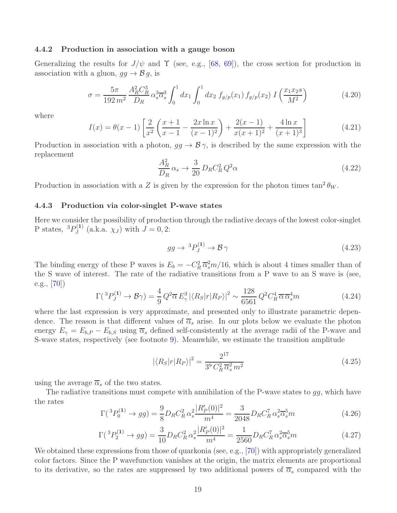#### <span id="page-19-0"></span>4.4.2 Production in association with a gauge boson

Generalizing the results for  $J/\psi$  and  $\Upsilon$  (see, e.g., [\[68](#page-38-3), [69](#page-38-4)]), the cross section for production in association with a gluon,  $gg \to \mathcal{B} g$ , is

$$
\sigma = \frac{5\pi}{192 m^2} \frac{A_R^2 C_R^3}{D_R} \alpha_s^3 \overline{\alpha}_s^3 \int_0^1 dx_1 \int_0^1 dx_2 f_{g/p}(x_1) f_{g/p}(x_2) I\left(\frac{x_1 x_2 s}{M^2}\right)
$$
(4.20)

where

$$
I(x) = \theta(x-1) \left[ \frac{2}{x^2} \left( \frac{x+1}{x-1} - \frac{2x \ln x}{(x-1)^2} \right) + \frac{2(x-1)}{x(x+1)^2} + \frac{4 \ln x}{(x+1)^3} \right]
$$
(4.21)

Production in association with a photon,  $gg \to \mathcal{B}\gamma$ , is described by the same expression with the replacement

$$
\frac{A_R^2}{D_R} \alpha_s \to \frac{3}{20} D_R C_R^2 Q^2 \alpha \tag{4.22}
$$

Production in association with a Z is given by the expression for the photon times  $\tan^2 \theta_W$ .

#### <span id="page-19-1"></span>4.4.3 Production via color-singlet P-wave states

Here we consider the possibility of production through the radiative decays of the lowest color-singlet P states,  ${}^3P_J^{(1)}$  $J_J^{(1)}$  (a.k.a.  $\chi_J$ ) with  $J = 0, 2$ :

$$
gg \to {}^{3}P_J^{(1)} \to \mathcal{B}\,\gamma \tag{4.23}
$$

The binding energy of these P waves is  $E_b = -C_R^2 \bar{\alpha}_s^2 m/16$ , which is about 4 times smaller than of the S wave of interest. The rate of the radiative transitions from a P wave to an S wave is (see, e.g.,  $[70]$ 

<span id="page-19-2"></span>
$$
\Gamma({}^3P_J^{(1)} \to \mathcal{B}\gamma) = \frac{4}{9} Q^2 \overline{\alpha} E_\gamma^3 |\langle R_S | r | R_P \rangle|^2 \sim \frac{128}{6561} Q^2 C_R^4 \overline{\alpha} \overline{\alpha}_s^4 m \tag{4.24}
$$

where the last expression is very approximate, and presented only to illustrate parametric dependence. The reason is that different values of  $\overline{\alpha}_s$  arise. In our plots below we evaluate the photon energy  $E_{\gamma} = E_{b,P} - E_{b,S}$  using  $\overline{\alpha}_s$  defined self-consistently at the average radii of the P-wave and S-wave states, respectively (see footnote [9\)](#page-9-1). Meanwhile, we estimate the transition amplitude

$$
|\langle R_S|r|R_P\rangle|^2 = \frac{2^{17}}{3^9 C_R^2 \overline{\alpha}_s^2 m^2}
$$
\n(4.25)

using the average  $\overline{\alpha}_s$  of the two states.

The radiative transitions must compete with annihilation of the P-wave states to  $gg$ , which have the rates

<span id="page-19-3"></span>
$$
\Gamma({}^3P_0^{(1)} \to gg) = \frac{9}{8}D_R C_R^2 \alpha_s^2 \frac{|R'_P(0)|^2}{m^4} = \frac{3}{2048}D_R C_R^7 \alpha_s^2 \overline{\alpha}_s^5 m \tag{4.26}
$$

<span id="page-19-4"></span>
$$
\Gamma({}^3P_2^{(1)} \to gg) = \frac{3}{10} D_R C_R^2 \alpha_s^2 \frac{|R_P'(0)|^2}{m^4} = \frac{1}{2560} D_R C_R^7 \alpha_s^2 \overline{\alpha}_s^5 m \tag{4.27}
$$

We obtained these expressions from those of quarkonia (see, e.g., [\[70](#page-38-5)]) with appropriately generalized color factors. Since the P wavefunction vanishes at the origin, the matrix elements are proportional to its derivative, so the rates are suppressed by two additional powers of  $\overline{\alpha}_s$  compared with the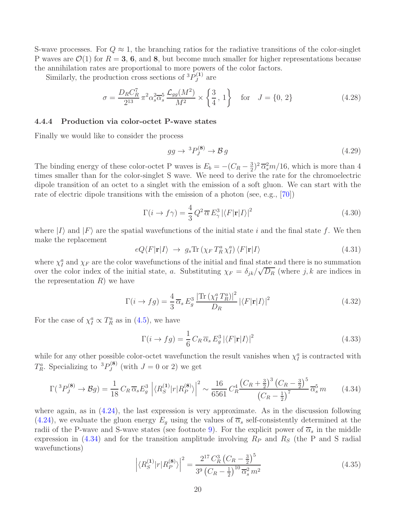S-wave processes. For  $Q \approx 1$ , the branching ratios for the radiative transitions of the color-singlet P waves are  $\mathcal{O}(1)$  for  $R = 3, 6,$  and 8, but become much smaller for higher representations because the annihilation rates are proportional to more powers of the color factors.

Similarly, the production cross sections of  ${}^3P_J^{(1)}$  $J^{(1)}$  are

$$
\sigma = \frac{D_R C_R^7}{2^{13}} \pi^2 \alpha_s^2 \overline{\alpha}_s^5 \frac{\mathcal{L}_{gg}(M^2)}{M^2} \times \left\{ \frac{3}{4}, 1 \right\} \quad \text{for} \quad J = \{0, 2\}
$$
 (4.28)

#### <span id="page-20-0"></span>4.4.4 Production via color-octet P-wave states

Finally we would like to consider the process

$$
gg \to {}^{3}P_J^{(8)} \to \mathcal{B}g \tag{4.29}
$$

The binding energy of these color-octet P waves is  $E_b = -(C_R - \frac{3}{2})$  $(\frac{3}{2})^2 \overline{\alpha}_s^2 m/16$ , which is more than 4 times smaller than for the color-singlet S wave. We need to derive the rate for the chromoelectric dipole transition of an octet to a singlet with the emission of a soft gluon. We can start with the rate of electric dipole transitions with the emission of a photon (see, e.g., [\[70\]](#page-38-5))

$$
\Gamma(i \to f\gamma) = \frac{4}{3} Q^2 \overline{\alpha} E_\gamma^3 |\langle F|\mathbf{r}|I\rangle|^2
$$
\n(4.30)

where  $|I\rangle$  and  $|F\rangle$  are the spatial wavefunctions of the initial state i and the final state f. We then make the replacement

$$
eQ\langle F|\mathbf{r}|I\rangle \rightarrow g_s \text{Tr}\left(\chi_F T_R^a \chi_I^a\right) \langle F|\mathbf{r}|I\rangle \tag{4.31}
$$

where  $\chi_I^a$  and  $\chi_F$  are the color wavefunctions of the initial and final state and there is no summation over the color index of the initial state, a. Substituting  $\chi_F = \delta_{jk}/\sqrt{D_R}$  (where j, k are indices in the representation  $R$ ) we have

$$
\Gamma(i \to fg) = \frac{4}{3} \overline{\alpha}_s E_g^3 \frac{\left| \text{Tr} \left( \chi_l^a T_R^a \right) \right|^2}{D_R} \left| \langle F | \mathbf{r} | I \rangle \right|^2 \tag{4.32}
$$

For the case of  $\chi_I^a \propto T_R^a$  as in [\(4.5\)](#page-13-1), we have

$$
\Gamma(i \to fg) = \frac{1}{6} C_R \overline{\alpha}_s E_g^3 |\langle F|\mathbf{r}|I\rangle|^2 \tag{4.33}
$$

while for any other possible color-octet wavefunction the result vanishes when  $\chi_I^a$  is contracted with  $T_R^a$ . Specializing to  ${}^3P_J^{(8)}$  $J_J^{(0)}$  (with  $J=0$  or 2) we get

<span id="page-20-1"></span>
$$
\Gamma({}^3P_J^{(8)} \to \mathcal{B}g) = \frac{1}{18} C_R \overline{\alpha}_s E_g^3 \left| \langle R_S^{(1)} | r | R_P^{(8)} \rangle \right|^2 \sim \frac{16}{6561} C_R^4 \frac{\left( C_R + \frac{3}{2} \right)^3 \left( C_R - \frac{3}{2} \right)^5}{\left( C_R - \frac{1}{2} \right)^7} \overline{\alpha}_s^5 m \tag{4.34}
$$

where again, as in  $(4.24)$ , the last expression is very approximate. As in the discussion following [\(4.24\)](#page-19-2), we evaluate the gluon energy  $E_q$  using the values of  $\overline{\alpha}_s$  self-consistently determined at the radii of the P-wave and S-wave states (see footnote [9\)](#page-9-1). For the explicit power of  $\overline{\alpha}_s$  in the middle expression in [\(4.34\)](#page-20-1) and for the transition amplitude involving  $R_P$  and  $R_S$  (the P and S radial wavefunctions)

$$
\left| \langle R_S^{(1)} | r | R_P^{(8)} \rangle \right|^2 = \frac{2^{17} C_R^3 \left( C_R - \frac{3}{2} \right)^5}{3^9 \left( C_R - \frac{1}{2} \right)^{10} \overline{\alpha}_s^2 m^2}
$$
(4.35)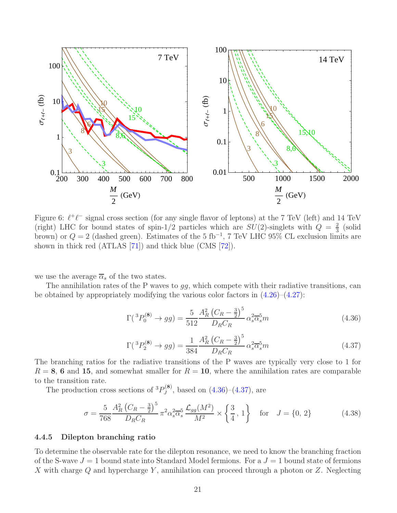

<span id="page-21-3"></span>Figure 6:  $\ell^+\ell^-$  signal cross section (for any single flavor of leptons) at the 7 TeV (left) and 14 TeV (right) LHC for bound states of spin-1/2 particles which are  $SU(2)$ -singlets with  $Q = \frac{2}{3}$  $rac{2}{3}$  (solid brown) or  $Q = 2$  (dashed green). Estimates of the 5 fb<sup>-1</sup>, 7 TeV LHC 95% CL exclusion limits are shown in thick red (ATLAS [\[71](#page-38-6)]) and thick blue (CMS [\[72](#page-38-7)]).

we use the average  $\overline{\alpha}_s$  of the two states.

The annihilation rates of the P waves to  $gg$ , which compete with their radiative transitions, can be obtained by appropriately modifying the various color factors in  $(4.26)-(4.27)$  $(4.26)-(4.27)$ :

<span id="page-21-1"></span>
$$
\Gamma({}^3P_0^{(8)} \to gg) = \frac{5}{512} \frac{A_R^2 (C_R - \frac{3}{2})^5}{D_R C_R} \alpha_s^2 \overline{\alpha}_s^5 m \tag{4.36}
$$

<span id="page-21-2"></span>
$$
\Gamma({}^3P_2^{(8)} \to gg) = \frac{1}{384} \frac{A_R^2 (C_R - \frac{3}{2})^5}{D_R C_R} \alpha_s^2 \overline{\alpha}_s^5 m \tag{4.37}
$$

The branching ratios for the radiative transitions of the P waves are typically very close to 1 for  $R = 8$ , 6 and 15, and somewhat smaller for  $R = 10$ , where the annihilation rates are comparable to the transition rate.

The production cross sections of  ${}^3P_J^{(8)}$  $J_J^{(0)}$ , based on  $(4.36)$ – $(4.37)$ , are

$$
\sigma = \frac{5}{768} \frac{A_R^2 (C_R - \frac{3}{2})^5}{D_R C_R} \pi^2 \alpha_s^2 \overline{\alpha}_s^5 \frac{\mathcal{L}_{gg}(M^2)}{M^2} \times \left\{ \frac{3}{4}, 1 \right\} \quad \text{for} \quad J = \{0, 2\}
$$
 (4.38)

#### <span id="page-21-0"></span>4.4.5 Dilepton branching ratio

To determine the observable rate for the dilepton resonance, we need to know the branching fraction of the S-wave  $J = 1$  bound state into Standard Model fermions. For a  $J = 1$  bound state of fermions X with charge Q and hypercharge Y, annihilation can proceed through a photon or  $Z$ . Neglecting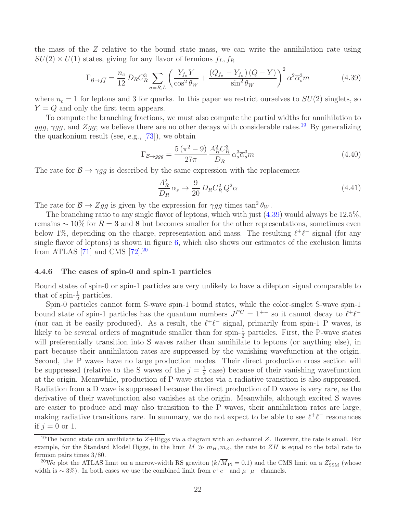the mass of the Z relative to the bound state mass, we can write the annihilation rate using  $SU(2) \times U(1)$  states, giving for any flavor of fermions  $f_L, f_R$ 

<span id="page-22-2"></span>
$$
\Gamma_{\mathcal{B}\to f\overline{f}} = \frac{n_c}{12} D_R C_R^3 \sum_{\sigma=R,L} \left( \frac{Y_{f\sigma} Y}{\cos^2 \theta_W} + \frac{(Q_{f\sigma} - Y_{f\sigma}) (Q - Y)}{\sin^2 \theta_W} \right)^2 \alpha^2 \overline{\alpha}_s^3 m \tag{4.39}
$$

where  $n_c = 1$  for leptons and 3 for quarks. In this paper we restrict ourselves to  $SU(2)$  singlets, so  $Y = Q$  and only the first term appears.

To compute the branching fractions, we must also compute the partial widths for annihilation to ggg,  $\gamma gg$ , and  $Zgg$ ; we believe there are no other decays with considerable rates.<sup>[19](#page-22-1)</sup> By generalizing the quarkonium result (see, e.g., [\[73](#page-38-8)]), we obtain

$$
\Gamma_{\mathcal{B}\to ggg} = \frac{5\left(\pi^2 - 9\right)}{27\pi} \frac{A_R^2 C_R^3}{D_R} \alpha_s^3 \overline{\alpha}_s^3 m\tag{4.40}
$$

The rate for  $\mathcal{B} \to \gamma gg$  is described by the same expression with the replacement

$$
\frac{A_R^2}{D_R} \alpha_s \to \frac{9}{20} D_R C_R^2 Q^2 \alpha \tag{4.41}
$$

The rate for  $\mathcal{B} \to Zgg$  is given by the expression for  $\gamma gg$  times  $\tan^2 \theta_W$ .

The branching ratio to any single flavor of leptons, which with just  $(4.39)$  would always be 12.5%, remains  $\sim 10\%$  for  $R = 3$  and 8 but becomes smaller for the other representations, sometimes even below 1%, depending on the charge, representation and mass. The resulting  $\ell^+\ell^-$  signal (for any single flavor of leptons) is shown in figure  $6$ , which also shows our estimates of the exclusion limits from ATLAS [\[71\]](#page-38-6) and CMS  $[72]$ <sup>[20](#page-22-3)</sup>

#### <span id="page-22-0"></span>4.4.6 The cases of spin-0 and spin-1 particles

Bound states of spin-0 or spin-1 particles are very unlikely to have a dilepton signal comparable to that of spin- $\frac{1}{2}$  particles.

Spin-0 particles cannot form S-wave spin-1 bound states, while the color-singlet S-wave spin-1 bound state of spin-1 particles has the quantum numbers  $J^{PC} = 1^{+-}$  so it cannot decay to  $\ell^+\ell^-$ (nor can it be easily produced). As a result, the  $\ell^+\ell^-$  signal, primarily from spin-1 P waves, is likely to be several orders of magnitude smaller than for spin- $\frac{1}{2}$  particles. First, the P-wave states will preferentially transition into S waves rather than annihilate to leptons (or anything else), in part because their annihilation rates are suppressed by the vanishing wavefunction at the origin. Second, the P waves have no large production modes. Their direct production cross section will be suppressed (relative to the S waves of the  $j=\frac{1}{2}$  $\frac{1}{2}$  case) because of their vanishing wavefunction at the origin. Meanwhile, production of P-wave states via a radiative transition is also suppressed. Radiation from a D wave is suppressed because the direct production of D waves is very rare, as the derivative of their wavefunction also vanishes at the origin. Meanwhile, although excited S waves are easier to produce and may also transition to the P waves, their annihilation rates are large, making radiative transitions rare. In summary, we do not expect to be able to see  $\ell^+\ell^-$  resonances if  $j = 0$  or 1.

<span id="page-22-1"></span><sup>&</sup>lt;sup>19</sup>The bound state can annihilate to  $Z+Higgs$  via a diagram with an s-channel Z. However, the rate is small. For example, for the Standard Model Higgs, in the limit  $M \gg m_H, m_Z$ , the rate to  $ZH$  is equal to the total rate to fermion pairs times 3/80.

<span id="page-22-3"></span><sup>&</sup>lt;sup>20</sup>We plot the ATLAS limit on a narrow-width RS graviton  $(k/\overline{M}_{\rm Pl}=0.1)$  and the CMS limit on a  $Z'_{\rm SSM}$  (whose width is ~ 3%). In both cases we use the combined limit from  $e^+e^-$  and  $\mu^+\mu^-$  channels.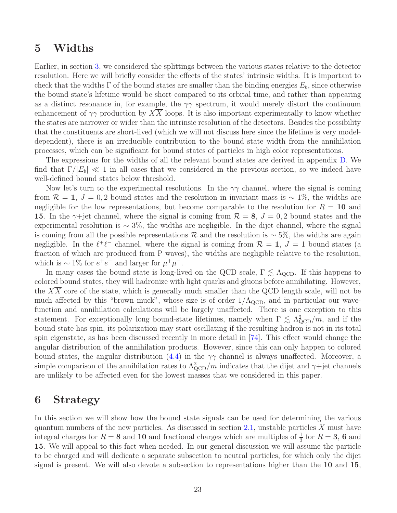## <span id="page-23-0"></span>5 Widths

Earlier, in section [3,](#page-8-0) we considered the splittings between the various states relative to the detector resolution. Here we will briefly consider the effects of the states' intrinsic widths. It is important to check that the widths  $\Gamma$  of the bound states are smaller than the binding energies  $E_b$ , since otherwise the bound state's lifetime would be short compared to its orbital time, and rather than appearing as a distinct resonance in, for example, the  $\gamma\gamma$  spectrum, it would merely distort the continuum enhancement of  $\gamma\gamma$  production by XX loops. It is also important experimentally to know whether the states are narrower or wider than the intrinsic resolution of the detectors. Besides the possibility that the constituents are short-lived (which we will not discuss here since the lifetime is very modeldependent), there is an irreducible contribution to the bound state width from the annihilation processes, which can be significant for bound states of particles in high color representations.

The expressions for the widths of all the relevant bound states are derived in appendix [D.](#page-31-0) We find that  $\Gamma/|E_b| \ll 1$  in all cases that we considered in the previous section, so we indeed have well-defined bound states below threshold.

Now let's turn to the experimental resolutions. In the  $\gamma\gamma$  channel, where the signal is coming from  $\mathcal{R} = 1, J = 0, 2$  bound states and the resolution in invariant mass is ~ 1%, the widths are negligible for the low representations, but become comparable to the resolution for  $R = 10$  and 15. In the  $\gamma$ +jet channel, where the signal is coming from  $\mathcal{R} = 8$ ,  $J = 0, 2$  bound states and the experimental resolution is  $\sim 3\%$ , the widths are negligible. In the dijet channel, where the signal is coming from all the possible representations R and the resolution is  $\sim$  5%, the widths are again negligible. In the  $\ell^+\ell^-$  channel, where the signal is coming from  $\mathcal{R} = 1$ ,  $J = 1$  bound states (a fraction of which are produced from P waves), the widths are negligible relative to the resolution, which is  $\sim 1\%$  for  $e^+e^-$  and larger for  $\mu^+\mu^-$ .

In many cases the bound state is long-lived on the QCD scale,  $\Gamma \lesssim \Lambda_{\rm QCD}$ . If this happens to colored bound states, they will hadronize with light quarks and gluons before annihilating. However, the  $XX$  core of the state, which is generally much smaller than the QCD length scale, will not be much affected by this "brown muck", whose size is of order  $1/\Lambda_{\rm QCD}$ , and in particular our wavefunction and annihilation calculations will be largely unaffected. There is one exception to this statement. For exceptionally long bound-state lifetimes, namely when  $\Gamma \lesssim \Lambda_{\rm QCD}^2/m$ , and if the bound state has spin, its polarization may start oscillating if the resulting hadron is not in its total spin eigenstate, as has been discussed recently in more detail in [\[74](#page-38-9)]. This effect would change the angular distribution of the annihilation products. However, since this can only happen to colored bound states, the angular distribution [\(4.4\)](#page-13-2) in the  $\gamma\gamma$  channel is always unaffected. Moreover, a simple comparison of the annihilation rates to  $\Lambda_{\rm QCD}^2/m$  indicates that the dijet and  $\gamma+{\rm jet}$  channels are unlikely to be affected even for the lowest masses that we considered in this paper.

## <span id="page-23-1"></span>6 Strategy

In this section we will show how the bound state signals can be used for determining the various quantum numbers of the new particles. As discussed in section [2.1,](#page-3-1) unstable particles X must have integral charges for  $R = 8$  and 10 and fractional charges which are multiples of  $\frac{1}{3}$  for  $R = 3$ , 6 and 15. We will appeal to this fact when needed. In our general discussion we will assume the particle to be charged and will dedicate a separate subsection to neutral particles, for which only the dijet signal is present. We will also devote a subsection to representations higher than the 10 and 15,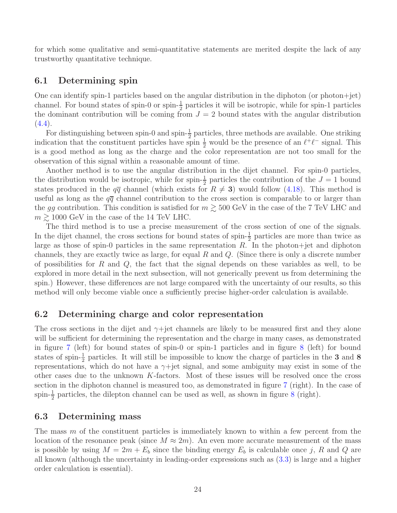for which some qualitative and semi-quantitative statements are merited despite the lack of any trustworthy quantitative technique.

### <span id="page-24-0"></span>6.1 Determining spin

One can identify spin-1 particles based on the angular distribution in the diphoton (or photon+jet) channel. For bound states of spin-0 or spin- $\frac{1}{2}$  particles it will be isotropic, while for spin-1 particles the dominant contribution will be coming from  $J = 2$  bound states with the angular distribution  $(4.4).$  $(4.4).$ 

For distinguishing between spin-0 and spin- $\frac{1}{2}$  particles, three methods are available. One striking indication that the constituent particles have spin  $\frac{1}{2}$  would be the presence of an  $\ell^+\ell^-$  signal. This is a good method as long as the charge and the color representation are not too small for the observation of this signal within a reasonable amount of time.

Another method is to use the angular distribution in the dijet channel. For spin-0 particles, the distribution would be isotropic, while for spin- $\frac{1}{2}$  particles the contribution of the  $J = 1$  bound states produced in the  $q\bar{q}$  channel (which exists for  $R \neq 3$ ) would follow [\(4.18\)](#page-17-2). This method is useful as long as the  $q\bar{q}$  channel contribution to the cross section is comparable to or larger than the gg contribution. This condition is satisfied for  $m \gtrsim 500$  GeV in the case of the 7 TeV LHC and  $m \gtrsim 1000 \text{ GeV}$  in the case of the 14 TeV LHC.

The third method is to use a precise measurement of the cross section of one of the signals. In the dijet channel, the cross sections for bound states of spin- $\frac{1}{2}$  particles are more than twice as large as those of spin-0 particles in the same representation R. In the photon+jet and diphoton channels, they are exactly twice as large, for equal  $R$  and  $Q$ . (Since there is only a discrete number of possibilities for R and  $Q$ , the fact that the signal depends on these variables as well, to be explored in more detail in the next subsection, will not generically prevent us from determining the spin.) However, these differences are not large compared with the uncertainty of our results, so this method will only become viable once a sufficiently precise higher-order calculation is available.

### <span id="page-24-1"></span>6.2 Determining charge and color representation

The cross sections in the dijet and  $\gamma$ +jet channels are likely to be measured first and they alone will be sufficient for determining the representation and the charge in many cases, as demonstrated in figure [7](#page-25-1) (left) for bound states of spin-0 or spin-1 particles and in figure [8](#page-26-1) (left) for bound states of spin- $\frac{1}{2}$  particles. It will still be impossible to know the charge of particles in the 3 and 8 representations, which do not have a  $\gamma$ +jet signal, and some ambiguity may exist in some of the other cases due to the unknown  $K$ -factors. Most of these issues will be resolved once the cross section in the diphoton channel is measured too, as demonstrated in figure [7](#page-25-1) (right). In the case of spin- $\frac{1}{2}$  particles, the dilepton channel can be used as well, as shown in figure [8](#page-26-1) (right).

### <span id="page-24-2"></span>6.3 Determining mass

The mass m of the constituent particles is immediately known to within a few percent from the location of the resonance peak (since  $M \approx 2m$ ). An even more accurate measurement of the mass is possible by using  $M = 2m + E_b$  since the binding energy  $E_b$  is calculable once j, R and Q are all known (although the uncertainty in leading-order expressions such as [\(3.3\)](#page-9-3) is large and a higher order calculation is essential).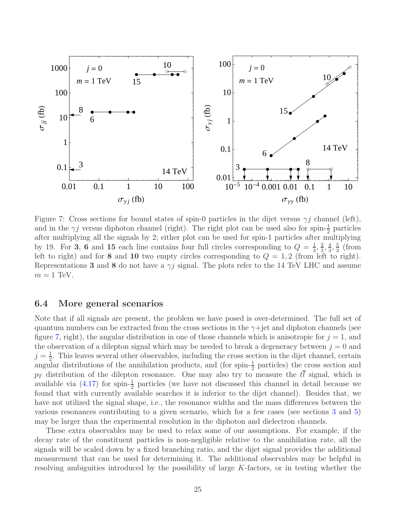

<span id="page-25-1"></span>Figure 7: Cross sections for bound states of spin-0 particles in the dijet versus  $\gamma j$  channel (left), and in the  $\gamma j$  versus diphoton channel (right). The right plot can be used also for spin- $\frac{1}{2}$  particles after multiplying all the signals by 2; either plot can be used for spin-1 particles after multiplying by 19. For 3, 6 and 15 each line contains four full circles corresponding to  $Q = \frac{1}{3}$  $\frac{1}{3}, \frac{2}{3}$  $\frac{2}{3}, \frac{4}{3}$  $\frac{4}{3}, \frac{5}{3}$  $rac{5}{3}$  (from left to right) and for 8 and 10 two empty circles corresponding to  $Q = 1, 2$  (from left to right). Representations 3 and 8 do not have a  $\gamma j$  signal. The plots refer to the 14 TeV LHC and assume  $m = 1$  TeV.

### <span id="page-25-0"></span>6.4 More general scenarios

Note that if all signals are present, the problem we have posed is over-determined. The full set of quantum numbers can be extracted from the cross sections in the  $\gamma$ +jet and diphoton channels (see figure [7,](#page-25-1) right), the angular distribution in one of those channels which is anisotropic for  $j = 1$ , and the observation of a dilepton signal which may be needed to break a degeneracy between  $j = 0$  and  $j=\frac{1}{2}$  $\frac{1}{2}$ . This leaves several other observables, including the cross section in the dijet channel, certain angular distributions of the annihilation products, and (for spin- $\frac{1}{2}$  particles) the cross section and  $p_T$  distribution of the dilepton resonance. One may also try to measure the  $t\bar{t}$  signal, which is available via  $(4.17)$  for spin- $\frac{1}{2}$  particles (we have not discussed this channel in detail because we found that with currently available searches it is inferior to the dijet channel). Besides that, we have not utilized the signal shape, i.e., the resonance widths and the mass differences between the various resonances contributing to a given scenario, which for a few cases (see sections [3](#page-8-0) and [5\)](#page-23-0) may be larger than the experimental resolution in the diphoton and dielectron channels.

These extra observables may be used to relax some of our assumptions. For example, if the decay rate of the constituent particles is non-negligible relative to the annihilation rate, all the signals will be scaled down by a fixed branching ratio, and the dijet signal provides the additional measurement that can be used for determining it. The additional observables may be helpful in resolving ambiguities introduced by the possibility of large K-factors, or in testing whether the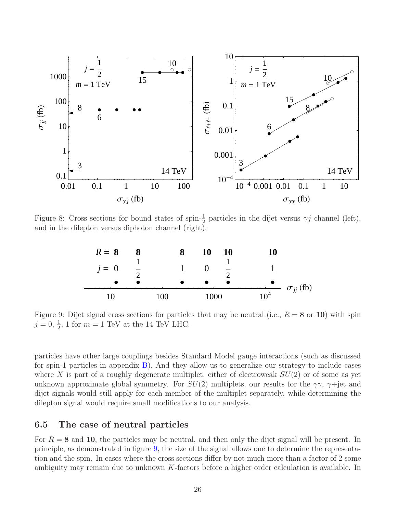

Figure 8: Cross sections for bound states of spin- $\frac{1}{2}$  particles in the dijet versus  $\gamma j$  channel (left), and in the dilepton versus diphoton channel (right).

<span id="page-26-1"></span>

<span id="page-26-2"></span>Figure 9: Dijet signal cross sections for particles that may be neutral (i.e.,  $R = 8$  or 10) with spin  $j = 0, \frac{1}{2}, 1$  for  $m = 1$  TeV at the 14 TeV LHC.

particles have other large couplings besides Standard Model gauge interactions (such as discussed for spin-1 particles in appendix [B\)](#page-30-0). And they allow us to generalize our strategy to include cases where X is part of a roughly degenerate multiplet, either of electroweak  $SU(2)$  or of some as yet unknown approximate global symmetry. For  $SU(2)$  multiplets, our results for the  $\gamma\gamma$ ,  $\gamma$ +jet and dijet signals would still apply for each member of the multiplet separately, while determining the dilepton signal would require small modifications to our analysis.

### <span id="page-26-0"></span>6.5 The case of neutral particles

For  $R = 8$  and 10, the particles may be neutral, and then only the dijet signal will be present. In principle, as demonstrated in figure [9,](#page-26-2) the size of the signal allows one to determine the representation and the spin. In cases where the cross sections differ by not much more than a factor of 2 some ambiguity may remain due to unknown  $K$ -factors before a higher order calculation is available. In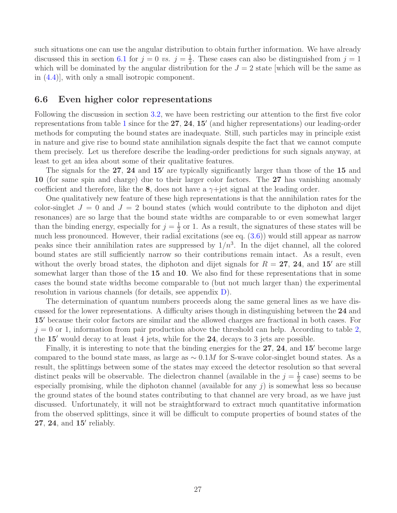such situations one can use the angular distribution to obtain further information. We have already discussed this in section [6.1](#page-24-0) for  $j = 0$  vs.  $j = \frac{1}{2}$  $\frac{1}{2}$ . These cases can also be distinguished from  $j = 1$ which will be dominated by the angular distribution for the  $J = 2$  state which will be the same as in [\(4.4\)](#page-13-2)], with only a small isotropic component.

### <span id="page-27-0"></span>6.6 Even higher color representations

Following the discussion in section [3.2,](#page-10-0) we have been restricting our attention to the first five color representations from table [1](#page-4-0) since for the 27, 24, 15' (and higher representations) our leading-order methods for computing the bound states are inadequate. Still, such particles may in principle exist in nature and give rise to bound state annihilation signals despite the fact that we cannot compute them precisely. Let us therefore describe the leading-order predictions for such signals anyway, at least to get an idea about some of their qualitative features.

The signals for the 27, 24 and 15' are typically significantly larger than those of the 15 and 10 (for same spin and charge) due to their larger color factors. The 27 has vanishing anomaly coefficient and therefore, like the 8, does not have a  $\gamma$ +jet signal at the leading order.

One qualitatively new feature of these high representations is that the annihilation rates for the color-singlet  $J = 0$  and  $J = 2$  bound states (which would contribute to the diphoton and dijet resonances) are so large that the bound state widths are comparable to or even somewhat larger than the binding energy, especially for  $j=\frac{1}{2}$  $\frac{1}{2}$  or 1. As a result, the signatures of these states will be much less pronounced. However, their radial excitations (see eq. [\(3.6\)](#page-10-1)) would still appear as narrow peaks since their annihilation rates are suppressed by  $1/n<sup>3</sup>$ . In the dijet channel, all the colored bound states are still sufficiently narrow so their contributions remain intact. As a result, even without the overly broad states, the diphoton and dijet signals for  $R = 27$ , 24, and 15' are still somewhat larger than those of the 15 and 10. We also find for these representations that in some cases the bound state widths become comparable to (but not much larger than) the experimental resolution in various channels (for details, see appendix [D\)](#page-31-0).

The determination of quantum numbers proceeds along the same general lines as we have discussed for the lower representations. A difficulty arises though in distinguishing between the 24 and 15′ because their color factors are similar and the allowed charges are fractional in both cases. For  $j = 0$  or 1, information from pair production above the threshold can help. According to table [2,](#page-6-1) the  $15'$  would decay to at least 4 jets, while for the  $24$ , decays to 3 jets are possible.

Finally, it is interesting to note that the binding energies for the 27, 24, and 15′ become large compared to the bound state mass, as large as  $\sim 0.1M$  for S-wave color-singlet bound states. As a result, the splittings between some of the states may exceed the detector resolution so that several distinct peaks will be observable. The dielectron channel (available in the  $j=\frac{1}{2}$  $\frac{1}{2}$  case) seems to be especially promising, while the diphoton channel (available for any  $j$ ) is somewhat less so because the ground states of the bound states contributing to that channel are very broad, as we have just discussed. Unfortunately, it will not be straightforward to extract much quantitative information from the observed splittings, since it will be difficult to compute properties of bound states of the 27, 24, and 15' reliably.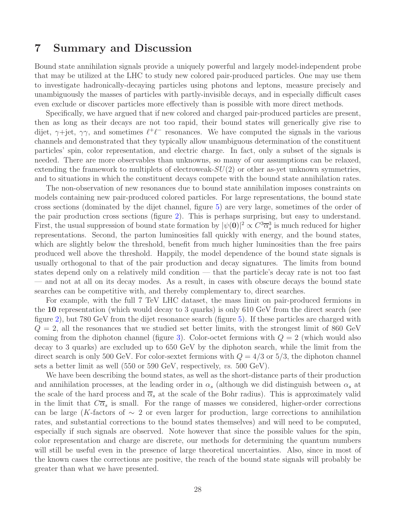## <span id="page-28-0"></span>7 Summary and Discussion

Bound state annihilation signals provide a uniquely powerful and largely model-independent probe that may be utilized at the LHC to study new colored pair-produced particles. One may use them to investigate hadronically-decaying particles using photons and leptons, measure precisely and unambiguously the masses of particles with partly-invisible decays, and in especially difficult cases even exclude or discover particles more effectively than is possible with more direct methods.

Specifically, we have argued that if new colored and charged pair-produced particles are present, then as long as their decays are not too rapid, their bound states will generically give rise to dijet,  $\gamma$ +jet,  $\gamma\gamma$ , and sometimes  $\ell^+\ell^-$  resonances. We have computed the signals in the various channels and demonstrated that they typically allow unambiguous determination of the constituent particles' spin, color representation, and electric charge. In fact, only a subset of the signals is needed. There are more observables than unknowns, so many of our assumptions can be relaxed, extending the framework to multiplets of electroweak- $SU(2)$  or other as-yet unknown symmetries, and to situations in which the constituent decays compete with the bound state annihilation rates.

The non-observation of new resonances due to bound state annihilation imposes constraints on models containing new pair-produced colored particles. For large representations, the bound state cross sections (dominated by the dijet channel, figure [5\)](#page-16-0) are very large, sometimes of the order of the pair production cross sections (figure [2\)](#page-6-0). This is perhaps surprising, but easy to understand. First, the usual suppression of bound state formation by  $|\psi(0)|^2 \propto C^3 \overline{\alpha}_s^3$  is much reduced for higher representations. Second, the parton luminosities fall quickly with energy, and the bound states, which are slightly below the threshold, benefit from much higher luminosities than the free pairs produced well above the threshold. Happily, the model dependence of the bound state signals is usually orthogonal to that of the pair production and decay signatures. The limits from bound states depend only on a relatively mild condition — that the particle's decay rate is not too fast — and not at all on its decay modes. As a result, in cases with obscure decays the bound state searches can be competitive with, and thereby complementary to, direct searches.

For example, with the full 7 TeV LHC dataset, the mass limit on pair-produced fermions in the 10 representation (which would decay to 3 quarks) is only 610 GeV from the direct search (see figure [2\)](#page-6-0), but 780 GeV from the dijet resonance search (figure [5\)](#page-16-0). If these particles are charged with  $Q = 2$ , all the resonances that we studied set better limits, with the strongest limit of 860 GeV coming from the diphoton channel (figure [3\)](#page-12-1). Color-octet fermions with  $Q = 2$  (which would also decay to 3 quarks) are excluded up to 650 GeV by the diphoton search, while the limit from the direct search is only 500 GeV. For color-sextet fermions with  $Q = 4/3$  or 5/3, the diphoton channel sets a better limit as well (550 or 590 GeV, respectively, vs. 500 GeV).

We have been describing the bound states, as well as the short-distance parts of their production and annihilation processes, at the leading order in  $\alpha_s$  (although we did distinguish between  $\alpha_s$  at the scale of the hard process and  $\overline{\alpha}_s$  at the scale of the Bohr radius). This is approximately valid in the limit that  $C\overline{\alpha}_s$  is small. For the range of masses we considered, higher-order corrections can be large (K-factors of  $\sim 2$  or even larger for production, large corrections to annihilation rates, and substantial corrections to the bound states themselves) and will need to be computed, especially if such signals are observed. Note however that since the possible values for the spin, color representation and charge are discrete, our methods for determining the quantum numbers will still be useful even in the presence of large theoretical uncertainties. Also, since in most of the known cases the corrections are positive, the reach of the bound state signals will probably be greater than what we have presented.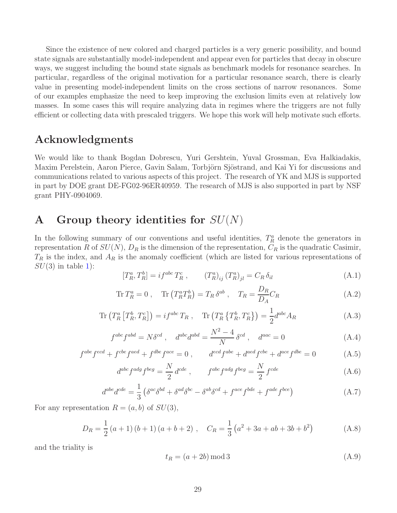Since the existence of new colored and charged particles is a very generic possibility, and bound state signals are substantially model-independent and appear even for particles that decay in obscure ways, we suggest including the bound state signals as benchmark models for resonance searches. In particular, regardless of the original motivation for a particular resonance search, there is clearly value in presenting model-independent limits on the cross sections of narrow resonances. Some of our examples emphasize the need to keep improving the exclusion limits even at relatively low masses. In some cases this will require analyzing data in regimes where the triggers are not fully efficient or collecting data with prescaled triggers. We hope this work will help motivate such efforts.

## Acknowledgments

We would like to thank Bogdan Dobrescu, Yuri Gershtein, Yuval Grossman, Eva Halkiadakis, Maxim Perelstein, Aaron Pierce, Gavin Salam, Torbjörn Sjöstrand, and Kai Yi for discussions and communications related to various aspects of this project. The research of YK and MJS is supported in part by DOE grant DE-FG02-96ER40959. The research of MJS is also supported in part by NSF grant PHY-0904069.

## <span id="page-29-0"></span>A Group theory identities for  $SU(N)$

In the following summary of our conventions and useful identities,  $T_R^a$  denote the generators in representation R of  $SU(N)$ ,  $D_R$  is the dimension of the representation,  $C_R$  is the quadratic Casimir,  $T_R$  is the index, and  $A_R$  is the anomaly coefficient (which are listed for various representations of  $SU(3)$  in table [1\)](#page-4-0):

$$
[T_R^a, T_R^b] = i f^{abc} T_R^c , \t (T_R^a)_{ij} (T_R^a)_{jl} = C_R \delta_{il}
$$
 (A.1)

$$
\operatorname{Tr} T_R^a = 0 \;, \quad \operatorname{Tr} \left( T_R^a T_R^b \right) = T_R \, \delta^{ab} \;, \quad T_R = \frac{D_R}{D_A} C_R \tag{A.2}
$$

$$
\operatorname{Tr}\left(T_R^a\left[T_R^b,T_R^c\right]\right) = if^{abc}T_R\ ,\quad \operatorname{Tr}\left(T_R^a\left\{T_R^b,T_R^c\right\}\right) = \frac{1}{2}d^{abc}A_R\tag{A.3}
$$

$$
f^{abc} f^{abd} = N \delta^{cd} , \quad d^{abc} d^{abd} = \frac{N^2 - 4}{N} \delta^{cd} , \quad d^{aac} = 0
$$
 (A.4)

$$
f^{abe}f^{ecd} + f^{cbe}f^{aed} + f^{dbe}f^{ace} = 0, \qquad d^{ecd}f^{abe} + d^{aed}f^{cbe} + d^{ace}f^{dbe} = 0
$$
 (A.5)

$$
d^{abc} f^{adg} f^{beg} = \frac{N}{2} d^{cde} , \qquad f^{abc} f^{adg} f^{beg} = \frac{N}{2} f^{cde} \tag{A.6}
$$

$$
d^{abe}d^{cde} = \frac{1}{3} \left( \delta^{ac} \delta^{bd} + \delta^{ad} \delta^{bc} - \delta^{ab} \delta^{cd} + f^{ace} f^{bde} + f^{ade} f^{bce} \right) \tag{A.7}
$$

For any representation  $R = (a, b)$  of  $SU(3)$ ,

$$
D_R = \frac{1}{2}(a+1)(b+1)(a+b+2), \quad C_R = \frac{1}{3}(a^2+3a+ab+3b+b^2)
$$
 (A.8)

and the triality is

<span id="page-29-1"></span>
$$
t_R = (a + 2b) \mod 3 \tag{A.9}
$$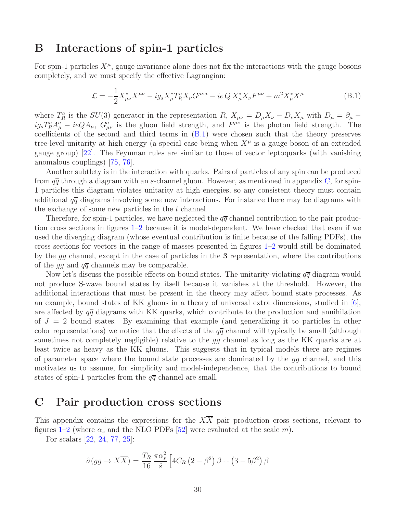## <span id="page-30-0"></span>B Interactions of spin-1 particles

For spin-1 particles  $X^{\mu}$ , gauge invariance alone does not fix the interactions with the gauge bosons completely, and we must specify the effective Lagrangian:

<span id="page-30-2"></span>
$$
\mathcal{L} = -\frac{1}{2} X_{\mu\nu}^* X^{\mu\nu} - ig_s X_{\mu}^* T_R^a X_{\nu} G^{\mu\nu a} - ie \, Q \, X_{\mu}^* X_{\nu} F^{\mu\nu} + m^2 X_{\mu}^* X^{\mu} \tag{B.1}
$$

where  $T_R^a$  is the  $SU(3)$  generator in the representation  $R$ ,  $X_{\mu\nu} = D_\mu X_\nu - D_\nu X_\mu$  with  $D_\mu = \partial_\mu$  $ig_sT_R^aA_\mu^a - ieQA_\mu$ ,  $G_{\mu\nu}^a$  is the gluon field strength, and  $F^{\mu\nu}$  is the photon field strength. The coefficients of the second and third terms in  $(B.1)$  were chosen such that the theory preserves tree-level unitarity at high energy (a special case being when  $X^{\mu}$  is a gauge boson of an extended gauge group) [\[22](#page-35-9)]. The Feynman rules are similar to those of vector leptoquarks (with vanishing anomalous couplings) [\[75](#page-38-10), [76](#page-38-11)].

Another subtlety is in the interaction with quarks. Pairs of particles of any spin can be produced from  $q\bar{q}$  through a diagram with an s-channel gluon. However, as mentioned in appendix [C,](#page-30-1) for spin-1 particles this diagram violates unitarity at high energies, so any consistent theory must contain additional  $q\bar{q}$  diagrams involving some new interactions. For instance there may be diagrams with the exchange of some new particles in the t channel.

Therefore, for spin-1 particles, we have neglected the  $q\overline{q}$  channel contribution to the pair production cross sections in figures [1](#page-5-2)[–2](#page-6-0) because it is model-dependent. We have checked that even if we used the diverging diagram (whose eventual contribution is finite because of the falling PDFs), the cross sections for vectors in the range of masses presented in figures [1](#page-5-2)[–2](#page-6-0) would still be dominated by the gg channel, except in the case of particles in the 3 representation, where the contributions of the gg and  $q\bar{q}$  channels may be comparable.

Now let's discuss the possible effects on bound states. The unitarity-violating  $q\bar{q}$  diagram would not produce S-wave bound states by itself because it vanishes at the threshold. However, the additional interactions that must be present in the theory may affect bound state processes. As an example, bound states of KK gluons in a theory of universal extra dimensions, studied in  $[6]$ , are affected by  $q\bar{q}$  diagrams with KK quarks, which contribute to the production and annihilation of  $J = 2$  bound states. By examining that example (and generalizing it to particles in other color representations) we notice that the effects of the  $q\bar{q}$  channel will typically be small (although sometimes not completely negligible) relative to the gg channel as long as the KK quarks are at least twice as heavy as the KK gluons. This suggests that in typical models there are regimes of parameter space where the bound state processes are dominated by the gg channel, and this motivates us to assume, for simplicity and model-independence, that the contributions to bound states of spin-1 particles from the  $q\overline{q}$  channel are small.

### <span id="page-30-1"></span>C Pair production cross sections

This appendix contains the expressions for the  $X\overline{X}$  pair production cross sections, relevant to figures [1](#page-5-2)[–2](#page-6-0) (where  $\alpha_s$  and the NLO PDFs [\[52\]](#page-37-5) were evaluated at the scale m).

For scalars [\[22,](#page-35-9) [24,](#page-35-10) [77](#page-38-12), [25](#page-35-11)]:

$$
\hat{\sigma}(gg \to X\overline{X}) = \frac{T_R}{16} \frac{\pi \alpha_s^2}{\hat{s}} \left[ 4C_R \left( 2 - \beta^2 \right) \beta + \left( 3 - 5\beta^2 \right) \beta \right]
$$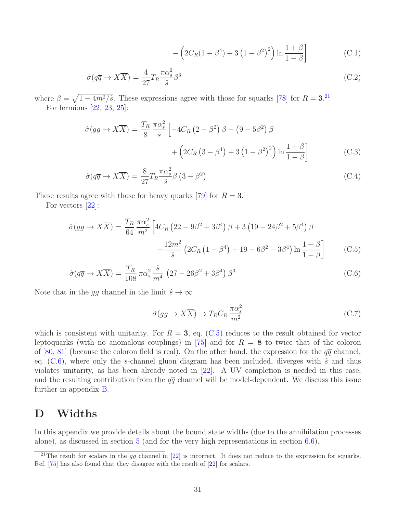$$
-\left(2C_R(1-\beta^4) + 3\left(1-\beta^2\right)^2\right) \ln \frac{1+\beta}{1-\beta}\right]
$$
 (C.1)

$$
\hat{\sigma}(q\overline{q} \to X\overline{X}) = \frac{4}{27} T_R \frac{\pi \alpha_s^2}{\hat{s}} \beta^3 \tag{C.2}
$$

where  $\beta = \sqrt{1 - 4m^2/\hat{s}}$ . These expressions agree with those for squarks [\[78](#page-38-13)] for  $R = 3$ .<sup>[21](#page-31-1)</sup> For fermions [\[22,](#page-35-9) [23,](#page-35-12) [25\]](#page-35-11):

$$
\hat{\sigma}(gg \to X\overline{X}) = \frac{T_R}{8} \frac{\pi \alpha_s^2}{\hat{s}} \left[ -4C_R \left( 2 - \beta^2 \right) \beta - \left( 9 - 5\beta^2 \right) \beta \right.
$$

$$
+ \left( 2C_R \left( 3 - \beta^4 \right) + 3 \left( 1 - \beta^2 \right)^2 \right) \ln \frac{1 + \beta}{1 - \beta} \right]
$$
(C.3)

$$
\hat{\sigma}(q\overline{q} \to X\overline{X}) = \frac{8}{27} T_R \frac{\pi \alpha_s^2}{\hat{s}} \beta \left(3 - \beta^2\right)
$$
\n(C.4)

These results agree with those for heavy quarks [\[79](#page-38-14)] for  $R = 3$ .

For vectors [\[22\]](#page-35-9):

<span id="page-31-2"></span>
$$
\hat{\sigma}(gg \to X\overline{X}) = \frac{T_R}{64} \frac{\pi \alpha_s^2}{m^2} \left[ 4C_R \left( 22 - 9\beta^2 + 3\beta^4 \right) \beta + 3 \left( 19 - 24\beta^2 + 5\beta^4 \right) \beta \right. \\
\left. - \frac{12m^2}{\hat{s}} \left( 2C_R \left( 1 - \beta^4 \right) + 19 - 6\beta^2 + 3\beta^4 \right) \ln \frac{1+\beta}{1-\beta} \right] \tag{C.5}
$$

$$
\hat{\sigma}(q\overline{q} \to X\overline{X}) = \frac{T_R}{108} \pi \alpha_s^2 \frac{\hat{s}}{m^4} \left(27 - 26\beta^2 + 3\beta^4\right) \beta^3 \tag{C.6}
$$

Note that in the gg channel in the limit  $\hat{s} \to \infty$ 

$$
\hat{\sigma}(gg \to X\overline{X}) \to T_R C_R \frac{\pi \alpha_s^2}{m^2}
$$
\n(C.7)

which is consistent with unitarity. For  $R = 3$ , eq. [\(C.5\)](#page-31-2) reduces to the result obtained for vector leptoquarks (with no anomalous couplings) in [\[75](#page-38-10)] and for  $R = 8$  to twice that of the coloron of [\[80](#page-38-15), [81](#page-38-16)] (because the coloron field is real). On the other hand, the expression for the  $q\bar{q}$  channel, eq.  $(C.6)$ , where only the s-channel gluon diagram has been included, diverges with  $\hat{s}$  and thus violates unitarity, as has been already noted in [\[22\]](#page-35-9). A UV completion is needed in this case, and the resulting contribution from the  $q\bar{q}$  channel will be model-dependent. We discuss this issue further in appendix [B.](#page-30-0)

## <span id="page-31-0"></span>D Widths

In this appendix we provide details about the bound state widths (due to the annihilation processes alone), as discussed in section [5](#page-23-0) (and for the very high representations in section [6.6\)](#page-27-0).

<span id="page-31-1"></span><sup>&</sup>lt;sup>21</sup>The result for scalars in the gg channel in [\[22\]](#page-35-9) is incorrect. It does not reduce to the expression for squarks. Ref. [\[75\]](#page-38-10) has also found that they disagree with the result of [\[22\]](#page-35-9) for scalars.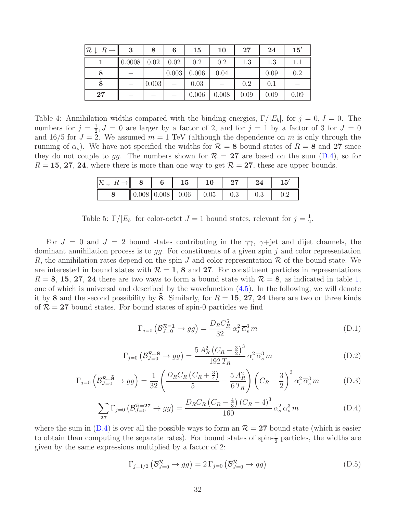| $\mathcal{R} \downarrow R \rightarrow$ | 3      | 8     | 6     | 15    | 10    | 27   | 24   | 15'  |
|----------------------------------------|--------|-------|-------|-------|-------|------|------|------|
|                                        | 0.0008 | 0.02  | 0.02  | 0.2   | 0.2   | 1.3  | 1.3  | 1.1  |
| 8                                      |        |       | 0.003 | 0.006 | 0.04  |      | 0.09 | 0.2  |
| $\tilde{8}$                            |        | 0.003 |       | 0.03  |       | 0.2  | 0.1  |      |
| 27                                     |        |       |       | 0.006 | 0.008 | 0.09 | 0.09 | 0.09 |

<span id="page-32-1"></span>Table 4: Annihilation widths compared with the binding energies,  $\Gamma/|E_b|$ , for  $j = 0, J = 0$ . The numbers for  $j=\frac{1}{2}$  $\frac{1}{2}$ ,  $J = 0$  are larger by a factor of 2, and for  $j = 1$  by a factor of 3 for  $J = 0$ and 16/5 for  $J = 2$ . We assumed  $m = 1$  TeV (although the dependence on m is only through the running of  $\alpha_s$ ). We have not specified the widths for  $\mathcal{R} = 8$  bound states of  $R = 8$  and 27 since they do not couple to gg. The numbers shown for  $\mathcal{R} = 27$  are based on the sum [\(D.4\)](#page-32-0), so for  $R = 15, 27, 24$ , where there is more than one way to get  $\mathcal{R} = 27$ , these are upper bounds.

|  |                                                  |     | 24  | $15^{\prime}$ |  |
|--|--------------------------------------------------|-----|-----|---------------|--|
|  | $\parallel 0.008 \mid 0.008 \mid 0.06 \mid 0.05$ | 0.3 | U.3 |               |  |

<span id="page-32-2"></span>

| Table 5: $\Gamma/ E_b $ for color-octet $J=1$ bound states, relevant for $j=\frac{1}{2}$ . |  |
|--------------------------------------------------------------------------------------------|--|
|--------------------------------------------------------------------------------------------|--|

For  $J = 0$  and  $J = 2$  bound states contributing in the  $\gamma\gamma$ ,  $\gamma$ +jet and dijet channels, the dominant annihilation process is to  $gg$ . For constituents of a given spin j and color representation R, the annihilation rates depend on the spin J and color representation R of the bound state. We are interested in bound states with  $\mathcal{R} = 1, 8$  and 27. For constituent particles in representations  $R = 8, 15, 27, 24$  there are two ways to form a bound state with  $R = 8$ , as indicated in table [1,](#page-4-0) one of which is universal and described by the wavefunction [\(4.5\)](#page-13-1). In the following, we will denote it by 8 and the second possibility by 8. Similarly, for  $R = 15, 27, 24$  there are two or three kinds of  $\mathcal{R} = 27$  bound states. For bound states of spin-0 particles we find

$$
\Gamma_{j=0} \left( \mathcal{B}_{J=0}^{\mathcal{R}=1} \to gg \right) = \frac{D_R C_R^5}{32} \alpha_s^2 \overline{\alpha}_s^3 m \tag{D.1}
$$

$$
\Gamma_{j=0} \left( \mathcal{B}_{J=0}^{\mathcal{R}=8} \to gg \right) = \frac{5 A_R^2 \left( C_R - \frac{3}{2} \right)^3}{192 T_R} \alpha_s^2 \overline{\alpha}_s^3 m \tag{D.2}
$$

$$
\Gamma_{j=0}\left(\mathcal{B}_{J=0}^{\mathcal{R}=\tilde{\mathbf{8}}}\to gg\right)=\frac{1}{32}\left(\frac{D_R C_R \left(C_R+\frac{3}{4}\right)}{5}-\frac{5 A_R^2}{6 T_R}\right)\left(C_R-\frac{3}{2}\right)^3 \alpha_s^2 \overline{\alpha}_s^3 m\tag{D.3}
$$

<span id="page-32-0"></span>
$$
\sum_{27} \Gamma_{j=0} \left( \mathcal{B}_{J=0}^{R=27} \to gg \right) = \frac{D_R C_R \left( C_R - \frac{4}{3} \right) \left( C_R - 4 \right)^3}{160} \alpha_s^2 \overline{\alpha}_s^3 m \tag{D.4}
$$

where the sum in  $(D.4)$  is over all the possible ways to form an  $\mathcal{R} = 27$  bound state (which is easier to obtain than computing the separate rates). For bound states of spin- $\frac{1}{2}$  particles, the widths are given by the same expressions multiplied by a factor of 2:

$$
\Gamma_{j=1/2} \left( \mathcal{B}_{J=0}^{\mathcal{R}} \to gg \right) = 2 \Gamma_{j=0} \left( \mathcal{B}_{J=0}^{\mathcal{R}} \to gg \right)
$$
 (D.5)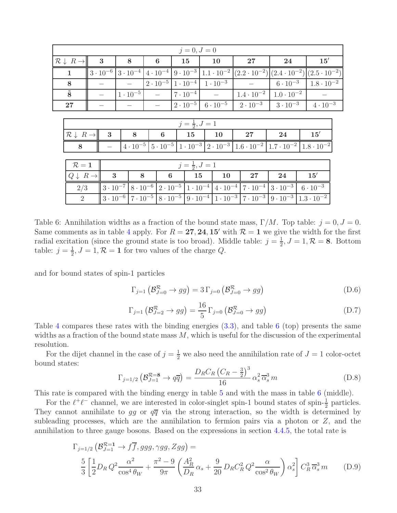| $j = 0, J = 0$                         |                                             |  |                   |                   |                                                                                                                                                 |                   |                                                                                                                                                                 |    |                                     |  |    |  |                                                                                                                                                                            |                                                                                                                      |    |                     |  |
|----------------------------------------|---------------------------------------------|--|-------------------|-------------------|-------------------------------------------------------------------------------------------------------------------------------------------------|-------------------|-----------------------------------------------------------------------------------------------------------------------------------------------------------------|----|-------------------------------------|--|----|--|----------------------------------------------------------------------------------------------------------------------------------------------------------------------------|----------------------------------------------------------------------------------------------------------------------|----|---------------------|--|
| $\mathcal{R} \downarrow R \rightarrow$ |                                             |  | $\boldsymbol{3}$  |                   | 8                                                                                                                                               | 6                 |                                                                                                                                                                 |    | 15                                  |  | 10 |  | $27\,$                                                                                                                                                                     |                                                                                                                      | 24 | 15'                 |  |
|                                        | 1                                           |  | $3 \cdot 10^{-6}$ |                   | $3 \cdot 10^{-4}$                                                                                                                               | $4 \cdot 10^{-4}$ |                                                                                                                                                                 |    |                                     |  |    |  |                                                                                                                                                                            | $(9 \cdot 10^{-3} \mid 1.1 \cdot 10^{-2} \mid (2.2 \cdot 10^{-2}) \mid (2.4 \cdot 10^{-2}) \mid (2.5 \cdot 10^{-2})$ |    |                     |  |
|                                        | 8                                           |  |                   |                   |                                                                                                                                                 |                   | $2 \cdot 10^{-5}$   $1 \cdot 10^{-4}$   $1 \cdot 10^{-3}$                                                                                                       |    |                                     |  |    |  |                                                                                                                                                                            | $6 \cdot 10^{-3}$                                                                                                    |    | $1.8 \cdot 10^{-2}$ |  |
| $\overline{8}$                         |                                             |  |                   | $1 \cdot 10^{-5}$ |                                                                                                                                                 |                   | $7 \cdot 10^{-4}$                                                                                                                                               |    |                                     |  |    |  | $1.4 \cdot 10^{-2}$                                                                                                                                                        | $1.0 \cdot 10^{-2}$                                                                                                  |    |                     |  |
| 27                                     |                                             |  |                   |                   |                                                                                                                                                 |                   |                                                                                                                                                                 |    | $2 \cdot 10^{-5}$ 6 $\cdot 10^{-5}$ |  |    |  | $2 \cdot 10^{-3}$                                                                                                                                                          | $3 \cdot 10^{-3}$                                                                                                    |    | $4 \cdot 10^{-3}$   |  |
| $j=\frac{1}{2}, J=1$                   |                                             |  |                   |                   |                                                                                                                                                 |                   |                                                                                                                                                                 |    |                                     |  |    |  |                                                                                                                                                                            |                                                                                                                      |    |                     |  |
|                                        | $\mathcal{R} \downarrow R \rightarrow$<br>8 |  | 3<br>8            |                   |                                                                                                                                                 | 6                 |                                                                                                                                                                 | 15 |                                     |  | 10 |  | 27                                                                                                                                                                         | 24                                                                                                                   |    | 15'                 |  |
|                                        |                                             |  |                   |                   | $4 \cdot 10^{-5}$   $5 \cdot 10^{-5}$   $1 \cdot 10^{-3}$   $2 \cdot 10^{-3}$   $1.6 \cdot 10^{-2}$   $1.7 \cdot 10^{-2}$   $1.8 \cdot 10^{-2}$ |                   |                                                                                                                                                                 |    |                                     |  |    |  |                                                                                                                                                                            |                                                                                                                      |    |                     |  |
|                                        |                                             |  |                   |                   |                                                                                                                                                 |                   |                                                                                                                                                                 |    |                                     |  |    |  |                                                                                                                                                                            |                                                                                                                      |    |                     |  |
|                                        | $\mathcal{R}=1$                             |  |                   |                   |                                                                                                                                                 |                   |                                                                                                                                                                 |    | $j=\frac{1}{2}, J=1$                |  |    |  |                                                                                                                                                                            |                                                                                                                      |    |                     |  |
|                                        | $Q \downarrow R \rightarrow \parallel$      |  | $\mathbf{3}$      |                   | 8                                                                                                                                               |                   | 6                                                                                                                                                               |    | 15                                  |  | 10 |  | $27\,$                                                                                                                                                                     | 24                                                                                                                   |    | 15'                 |  |
|                                        | 2/3                                         |  |                   |                   |                                                                                                                                                 |                   |                                                                                                                                                                 |    |                                     |  |    |  | $3 \cdot 10^{-7}$ $\left[ 8 \cdot 10^{-6} \right]$ $2 \cdot 10^{-5}$ $\left[ 1 \cdot 10^{-4} \right]$ $4 \cdot 10^{-4}$ $\left[ 7 \cdot 10^{-4} \right]$ $3 \cdot 10^{-3}$ |                                                                                                                      |    | $6 \cdot 10^{-3}$   |  |
|                                        | 2                                           |  |                   |                   |                                                                                                                                                 |                   | $3 \cdot 10^{-6}$   $7 \cdot 10^{-5}$   $8 \cdot 10^{-5}$   $9 \cdot 10^{-4}$   $1 \cdot 10^{-3}$   $7 \cdot 10^{-3}$   $9 \cdot 10^{-3}$   $1.3 \cdot 10^{-2}$ |    |                                     |  |    |  |                                                                                                                                                                            |                                                                                                                      |    |                     |  |

<span id="page-33-0"></span>Table 6: Annihilation widths as a fraction of the bound state mass,  $\Gamma/M$ . Top table:  $j = 0, J = 0$ . Same comments as in table [4](#page-32-1) apply. For  $R = 27, 24, 15'$  with  $\mathcal{R} = 1$  we give the width for the first radial excitation (since the ground state is too broad). Middle table:  $j = \frac{1}{2}$  $\frac{1}{2}$ ,  $J = 1, \mathcal{R} = 8$ . Bottom table:  $j=\frac{1}{2}$  $\frac{1}{2}$ ,  $J = 1$ ,  $\mathcal{R} = 1$  for two values of the charge Q.

and for bound states of spin-1 particles

$$
\Gamma_{j=1} \left( \mathcal{B}_{J=0}^{\mathcal{R}} \to gg \right) = 3 \Gamma_{j=0} \left( \mathcal{B}_{J=0}^{\mathcal{R}} \to gg \right)
$$
 (D.6)

$$
\Gamma_{j=1} \left( \mathcal{B}_{J=2}^{\mathcal{R}} \to gg \right) = \frac{16}{5} \Gamma_{j=0} \left( \mathcal{B}_{J=0}^{\mathcal{R}} \to gg \right)
$$
 (D.7)

Table [4](#page-32-1) compares these rates with the binding energies [\(3.3\)](#page-9-3), and table [6](#page-33-0) (top) presents the same widths as a fraction of the bound state mass  $M$ , which is useful for the discussion of the experimental resolution.

For the dijet channel in the case of  $j = \frac{1}{2}$  we also need the annihilation rate of  $J = 1$  color-octet bound states:

$$
\Gamma_{j=1/2} \left( \mathcal{B}_{J=1}^{\mathcal{R}=8} \to q\overline{q} \right) = \frac{D_R C_R \left( C_R - \frac{3}{2} \right)^3}{16} \alpha_s^2 \overline{\alpha}_s^3 m \tag{D.8}
$$

This rate is compared with the binding energy in table [5](#page-32-2) and with the mass in table [6](#page-33-0) (middle).

For the  $\ell^+\ell^-$  channel, we are interested in color-singlet spin-1 bound states of spin- $\frac{1}{2}$  particles. They cannot annihilate to gg or  $q\bar{q}$  via the strong interaction, so the width is determined by subleading processes, which are the annihilation to fermion pairs via a photon or Z, and the annihilation to three gauge bosons. Based on the expressions in section [4.4.5,](#page-21-0) the total rate is

$$
\Gamma_{j=1/2} \left( \mathcal{B}_{J=1}^{\mathcal{R}=1} \to f \overline{f}, g g g, \gamma g g, Z g g \right) =
$$
\n
$$
\frac{5}{3} \left[ \frac{1}{2} D_R Q^2 \frac{\alpha^2}{\cos^4 \theta_W} + \frac{\pi^2 - 9}{9\pi} \left( \frac{A_R^2}{D_R} \alpha_s + \frac{9}{20} D_R C_R^2 Q^2 \frac{\alpha}{\cos^2 \theta_W} \right) \alpha_s^2 \right] C_R^3 \overline{\alpha}_s^3 m \qquad (D.9)
$$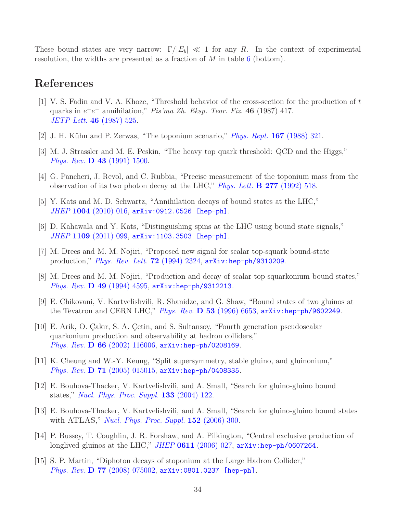These bound states are very narrow:  $\Gamma/|E_b| \ll 1$  for any R. In the context of experimental resolution, the widths are presented as a fraction of  $M$  in table [6](#page-33-0) (bottom).

## References

- <span id="page-34-0"></span>[1] V. S. Fadin and V. A. Khoze, "Threshold behavior of the cross-section for the production of t quarks in  $e^+e^-$  annihilation," Pis'ma Zh. Eksp. Teor. Fiz. 46 (1987) 417. [JETP Lett.](http://www.jetpletters.ac.ru/ps/1234/article_18631.shtml) 46 (1987) 525.
- [2] J. H. Kühn and P. Zerwas, "The toponium scenario," *[Phys. Rept.](http://dx.doi.org/10.1016/0370-1573(88)90075-0)* **167** (1988) 321.
- [3] M. J. Strassler and M. E. Peskin, "The heavy top quark threshold: QCD and the Higgs," Phys. Rev. D 43 [\(1991\) 1500.](http://dx.doi.org/10.1103/PhysRevD.43.1500)
- <span id="page-34-1"></span>[4] G. Pancheri, J. Revol, and C. Rubbia, "Precise measurement of the toponium mass from the observation of its two photon decay at the LHC," *[Phys. Lett.](http://dx.doi.org/10.1016/0370-2693(92)91822-Q)*  $\bf{B}$  **277** (1992) 518.
- <span id="page-34-2"></span>[5] Y. Kats and M. D. Schwartz, "Annihilation decays of bound states at the LHC," JHEP 1004 [\(2010\) 016,](http://dx.doi.org/10.1007/JHEP04(2010)016) [arXiv:0912.0526 \[hep-ph\]](http://arxiv.org/abs/0912.0526).
- <span id="page-34-3"></span>[6] D. Kahawala and Y. Kats, "Distinguishing spins at the LHC using bound state signals," JHEP 1109 [\(2011\) 099,](http://dx.doi.org/10.1007/JHEP09(2011)099) [arXiv:1103.3503 \[hep-ph\]](http://arxiv.org/abs/1103.3503).
- <span id="page-34-4"></span>[7] M. Drees and M. M. Nojiri, "Proposed new signal for scalar top-squark bound-state production," *[Phys. Rev. Lett.](http://dx.doi.org/10.1103/PhysRevLett.72.2324)* **72** (1994) 2324, [arXiv:hep-ph/9310209](http://arxiv.org/abs/hep-ph/9310209).
- [8] M. Drees and M. M. Nojiri, "Production and decay of scalar top squarkonium bound states," Phys. Rev. **D** 49 [\(1994\) 4595,](http://dx.doi.org/10.1103/PhysRevD.49.4595) arXiv: hep-ph/9312213.
- [9] E. Chikovani, V. Kartvelishvili, R. Shanidze, and G. Shaw, "Bound states of two gluinos at the Tevatron and CERN LHC," *Phys. Rev.*  $\bf{D}$  53 [\(1996\) 6653,](http://dx.doi.org/10.1103/PhysRevD.53.6653) arxiv:hep-ph/9602249.
- [10] E. Arik, O. Çakır, S. A. Çetin, and S. Sultansoy, "Fourth generation pseudoscalar quarkonium production and observability at hadron colliders," Phys. Rev. D 66 [\(2002\) 116006,](http://dx.doi.org/10.1103/PhysRevD.66.116006) [arXiv:hep-ph/0208169](http://arxiv.org/abs/hep-ph/0208169).
- <span id="page-34-6"></span>[11] K. Cheung and W.-Y. Keung, "Split supersymmetry, stable gluino, and gluinonium," Phys. Rev. D 71 [\(2005\) 015015,](http://dx.doi.org/10.1103/PhysRevD.71.015015) [arXiv:hep-ph/0408335](http://arxiv.org/abs/hep-ph/0408335).
- [12] E. Bouhova-Thacker, V. Kartvelishvili, and A. Small, "Search for gluino-gluino bound states," [Nucl. Phys. Proc. Suppl.](http://dx.doi.org/10.1016/j.nuclphysbps.2004.04.148) 133 (2004) 122.
- [13] E. Bouhova-Thacker, V. Kartvelishvili, and A. Small, "Search for gluino-gluino bound states with ATLAS," [Nucl. Phys. Proc. Suppl.](http://dx.doi.org/10.1016/j.nuclphysbps.2005.08.059)  $152$  (2006) 300.
- [14] P. Bussey, T. Coughlin, J. R. Forshaw, and A. Pilkington, "Central exclusive production of longlived gluinos at the LHC," JHEP  $0611$  [\(2006\) 027,](http://dx.doi.org/10.1088/1126-6708/2006/11/027) [arXiv:hep-ph/0607264](http://arxiv.org/abs/hep-ph/0607264).
- <span id="page-34-5"></span>[15] S. P. Martin, "Diphoton decays of stoponium at the Large Hadron Collider," Phys. Rev. **D 77** [\(2008\) 075002,](http://dx.doi.org/10.1103/PhysRevD.77.075002) [arXiv:0801.0237 \[hep-ph\]](http://arxiv.org/abs/0801.0237).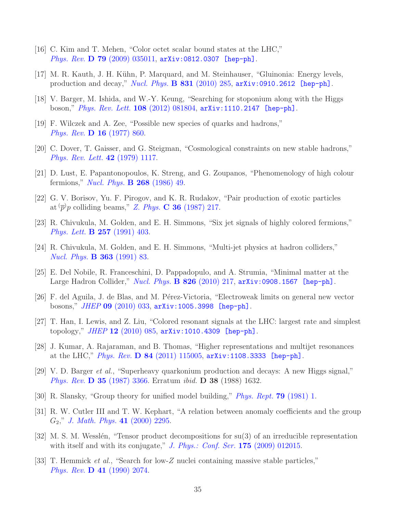- <span id="page-35-8"></span>[16] C. Kim and T. Mehen, "Color octet scalar bound states at the LHC," *Phys. Rev.* **D** 79 [\(2009\) 035011,](http://dx.doi.org/10.1103/PhysRevD.79.035011)  $arXiv:0812.0307$  [hep-ph].
- <span id="page-35-7"></span>[17] M. R. Kauth, J. H. Kühn, P. Marquard, and M. Steinhauser, "Gluinonia: Energy levels, production and decay," [Nucl. Phys.](http://dx.doi.org/10.1016/j.nuclphysb.2010.01.019) **B** 831 (2010) 285,  $arXiv:0910.2612$  [hep-ph].
- <span id="page-35-0"></span>[18] V. Barger, M. Ishida, and W.-Y. Keung, "Searching for stoponium along with the Higgs boson," *[Phys. Rev. Lett.](http://dx.doi.org/10.1103/PhysRevLett.108.081804)* **108** (2012) 081804,  $\text{arXiv:1110.2147}$  [hep-ph].
- <span id="page-35-1"></span>[19] F. Wilczek and A. Zee, "Possible new species of quarks and hadrons," Phys. Rev. D 16 [\(1977\) 860.](http://dx.doi.org/10.1103/PhysRevD.16.860)
- [20] C. Dover, T. Gaisser, and G. Steigman, "Cosmological constraints on new stable hadrons," [Phys. Rev. Lett.](http://dx.doi.org/10.1103/PhysRevLett.42.1117) 42 (1979) 1117.
- [21] D. Lust, E. Papantonopoulos, K. Streng, and G. Zoupanos, "Phenomenology of high colour fermions," *[Nucl. Phys.](http://dx.doi.org/10.1016/0550-3213(86)90201-4)* **B** 268 (1986) 49.
- <span id="page-35-9"></span>[22] G. V. Borisov, Yu. F. Pirogov, and K. R. Rudakov, "Pair production of exotic particles at  $\overline{p}$  p colliding beams," Z. Phys. **C 36** [\(1987\) 217.](http://dx.doi.org/10.1007/BF01579137)
- <span id="page-35-12"></span>[23] R. Chivukula, M. Golden, and E. H. Simmons, "Six jet signals of highly colored fermions," [Phys. Lett.](http://dx.doi.org/10.1016/0370-2693(91)91915-I) B 257 (1991) 403.
- <span id="page-35-10"></span>[24] R. Chivukula, M. Golden, and E. H. Simmons, "Multi-jet physics at hadron colliders," [Nucl. Phys.](http://dx.doi.org/10.1016/0550-3213(91)90235-P) B 363 (1991) 83.
- <span id="page-35-11"></span>[25] E. Del Nobile, R. Franceschini, D. Pappadopulo, and A. Strumia, "Minimal matter at the Large Hadron Collider," [Nucl. Phys.](http://dx.doi.org/10.1016/j.nuclphysb.2009.10.004) **B** 826 (2010) 217,  $arXiv:0908.1567$  [hep-ph].
- [26] F. del Aguila, J. de Blas, and M. Pérez-Victoria, "Electroweak limits on general new vector bosons," JHEP 09 [\(2010\) 033,](http://dx.doi.org/10.1007/JHEP09(2010)033) [arXiv:1005.3998 \[hep-ph\]](http://arxiv.org/abs/1005.3998).
- [27] T. Han, I. Lewis, and Z. Liu, "Colored resonant signals at the LHC: largest rate and simplest topology,"  $JHEP$  12 [\(2010\) 085,](http://dx.doi.org/10.1007/JHEP12(2010)085)  $arXiv:1010.4309$  [hep-ph].
- <span id="page-35-2"></span>[28] J. Kumar, A. Rajaraman, and B. Thomas, "Higher representations and multijet resonances at the LHC," Phys. Rev. D 84 [\(2011\) 115005,](http://dx.doi.org/10.1103/PhysRevD.84.115005)  $arXiv:1108.3333$  [hep-ph].
- <span id="page-35-4"></span>[29] V. D. Barger et al., "Superheavy quarkonium production and decays: A new Higgs signal," Phys. Rev. D 35 [\(1987\) 3366.](http://dx.doi.org/10.1103/PhysRevD.35.3366) Erratum ibid. D 38 (1988) 1632.
- <span id="page-35-5"></span>[30] R. Slansky, "Group theory for unified model building," [Phys. Rept.](http://dx.doi.org/10.1016/0370-1573(81)90092-2) 79 (1981) 1.
- [31] R. W. Cutler III and T. W. Kephart, "A relation between anomaly coefficients and the group  $G_2$ ," [J. Math. Phys.](http://dx.doi.org/10.1063/1.533239) 41 (2000) 2295.
- <span id="page-35-6"></span>[32] M. S. M. Wesslén, "Tensor product decompositions for su(3) of an irreducible representation with itself and with its conjugate," [J. Phys.: Conf. Ser.](http://dx.doi.org/10.1088/1742-6596/175/1/012015)  $175$  (2009) 012015.
- <span id="page-35-3"></span>[33] T. Hemmick et al., "Search for low-Z nuclei containing massive stable particles," Phys. Rev. D 41 [\(1990\) 2074.](http://dx.doi.org/10.1103/PhysRevD.41.2074)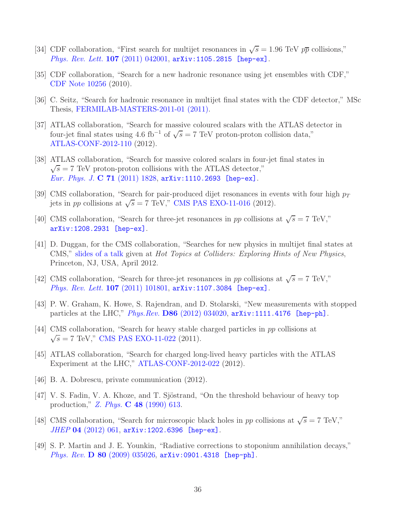- <span id="page-36-0"></span>[34] CDF collaboration, "First search for multijet resonances in  $\sqrt{s} = 1.96$  TeV  $p\bar{p}$  collisions," [Phys. Rev. Lett.](http://dx.doi.org/10.1103/PhysRevLett.107.042001) 107 (2011) 042001, [arXiv:1105.2815 \[hep-ex\]](http://arxiv.org/abs/1105.2815).
- [35] CDF collaboration, "Search for a new hadronic resonance using jet ensembles with CDF," [CDF Note 10256](http://www-cdf.fnal.gov/physics/exotic/r2a/20110203.multijets/) (2010).
- <span id="page-36-1"></span>[36] C. Seitz, "Search for hadronic resonance in multijet final states with the CDF detector," MSc Thesis, [FERMILAB-MASTERS-2011-01 \(2011\).](http://lss.fnal.gov/archive/masters/fermilab-masters-2011-01.shtml)
- <span id="page-36-2"></span>[37] ATLAS collaboration, "Search for massive coloured scalars with the ATLAS detector in four-jet final states using 4.6 fb<sup>-1</sup> of  $\sqrt{s} = 7$  TeV proton-proton collision data," [ATLAS-CONF-2012-110](http://cdsweb.cern.ch/record/1472711) (2012).
- <span id="page-36-3"></span>[38] ATLAS collaboration, "Search for massive colored scalars in four-jet final states in  $\sqrt{s}$  = 7 TeV proton-proton collisions with the ATLAS detector," [Eur. Phys. J.](http://dx.doi.org/10.1140/epjc/s10052-011-1828-6) C 71 (2011) 1828,  $arXiv:1110.2693$  [hep-ex].
- <span id="page-36-4"></span>[39] CMS collaboration, "Search for pair-produced dijet resonances in events with four high  $p_T$ jets in *pp* collisions at  $\sqrt{s} = 7$  TeV," [CMS PAS EXO-11-016](http://cdsweb.cern.ch/record/1416058) (2012).
- <span id="page-36-5"></span>[40] CMS collaboration, "Search for three-jet resonances in pp collisions at  $\sqrt{s} = 7$  TeV," [arXiv:1208.2931 \[hep-ex\]](http://arxiv.org/abs/1208.2931).
- <span id="page-36-6"></span>[41] D. Duggan, for the CMS collaboration, "Searches for new physics in multijet final states at CMS," [slides of a talk](https://indico.cern.ch/getFile.py/access?contribId=9&resId=0&materialId=slides&confId=186375) given at Hot Topics at Colliders: Exploring Hints of New Physics, Princeton, NJ, USA, April 2012.
- <span id="page-36-7"></span>[42] CMS collaboration, "Search for three-jet resonances in pp collisions at  $\sqrt{s} = 7$  TeV," [Phys. Rev. Lett.](http://dx.doi.org/10.1103/PhysRevLett.107.101801) 107 (2011) 101801, [arXiv:1107.3084 \[hep-ex\]](http://arxiv.org/abs/1107.3084).
- <span id="page-36-9"></span>[43] P. W. Graham, K. Howe, S. Rajendran, and D. Stolarski, "New measurements with stopped particles at the LHC," Phys.Rev. D86 [\(2012\) 034020,](http://dx.doi.org/10.1103/PhysRevD.86.034020) [arXiv:1111.4176 \[hep-ph\]](http://arxiv.org/abs/1111.4176).
- <span id="page-36-10"></span>[44] CMS collaboration, "Search for heavy stable charged particles in pp collisions at  $\sqrt{s} = 7$  TeV," [CMS PAS EXO-11-022](http://cdsweb.cern.ch/record/1370057) (2011).
- <span id="page-36-11"></span>[45] ATLAS collaboration, "Search for charged long-lived heavy particles with the ATLAS Experiment at the LHC," [ATLAS-CONF-2012-022](http://cdsweb.cern.ch/record/1430731) (2012).
- <span id="page-36-12"></span>[46] B. A. Dobrescu, private communication (2012).
- <span id="page-36-13"></span>[47] V. S. Fadin, V. A. Khoze, and T. Sjöstrand, "On the threshold behaviour of heavy top production," Z. Phys. C 48 [\(1990\) 613.](http://dx.doi.org/10.1007/BF01614696)
- <span id="page-36-8"></span>[48] CMS collaboration, "Search for microscopic black holes in pp collisions at  $\sqrt{s} = 7$  TeV," JHEP 04 [\(2012\) 061,](http://dx.doi.org/10.1007/JHEP04(2012)061) [arXiv:1202.6396 \[hep-ex\]](http://arxiv.org/abs/1202.6396).
- <span id="page-36-14"></span>[49] S. P. Martin and J. E. Younkin, "Radiative corrections to stoponium annihilation decays," Phys. Rev. **D 80** [\(2009\) 035026,](http://dx.doi.org/10.1103/PhysRevD.80.035026) [arXiv:0901.4318 \[hep-ph\]](http://arxiv.org/abs/0901.4318).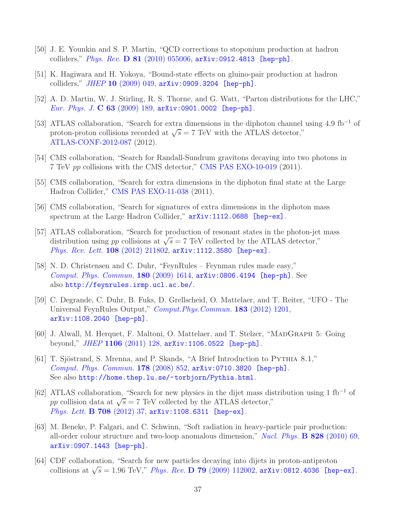- <span id="page-37-0"></span>[50] J. E. Younkin and S. P. Martin, "QCD corrections to stoponium production at hadron colliders," *Phys. Rev.* **D** 81 [\(2010\) 055006,](http://dx.doi.org/10.1103/PhysRevD.81.055006)  $\text{arXiv:0912.4813}$  [hep-ph].
- <span id="page-37-1"></span>[51] K. Hagiwara and H. Yokoya, "Bound-state effects on gluino-pair production at hadron colliders,"  $JHEP$  10 [\(2009\) 049,](http://dx.doi.org/10.1088/1126-6708/2009/10/049)  $arXiv:0909.3204$  [hep-ph].
- <span id="page-37-5"></span>[52] A. D. Martin, W. J. Stirling, R. S. Thorne, and G. Watt, "Parton distributions for the LHC," [Eur. Phys. J.](http://dx.doi.org/10.1140/epjc/s10052-009-1072-5) C  $63$  (2009) 189, [arXiv:0901.0002 \[hep-ph\]](http://arxiv.org/abs/0901.0002).
- <span id="page-37-2"></span>[53] ATLAS collaboration, "Search for extra dimensions in the diphoton channel using 4.9 fb<sup>−</sup><sup>1</sup> of proton-proton collisions recorded at  $\sqrt{s} = 7$  TeV with the ATLAS detector," [ATLAS-CONF-2012-087](http://cdsweb.cern.ch/record/1460399) (2012).
- <span id="page-37-4"></span>[54] CMS collaboration, "Search for Randall-Sundrum gravitons decaying into two photons in 7 TeV pp collisions with the CMS detector," [CMS PAS EXO-10-019](http://cdsweb.cern.ch/record/1350261) (2011).
- <span id="page-37-3"></span>[55] CMS collaboration, "Search for extra dimensions in the diphoton final state at the Large Hadron Collider," [CMS PAS EXO-11-038](http://cdsweb.cern.ch/record/1376706) (2011).
- <span id="page-37-6"></span>[56] CMS collaboration, "Search for signatures of extra dimensions in the diphoton mass spectrum at the Large Hadron Collider,"  $arXiv:1112.0688$  [hep-ex].
- <span id="page-37-7"></span>[57] ATLAS collaboration, "Search for production of resonant states in the photon-jet mass distribution using pp collisions at  $\sqrt{s} = 7$  TeV collected by the ATLAS detector," [Phys. Rev. Lett.](http://dx.doi.org/10.1103/PhysRevLett.108.211802) 108 (2012) 211802, [arXiv:1112.3580 \[hep-ex\]](http://arxiv.org/abs/1112.3580).
- <span id="page-37-8"></span>[58] N. D. Christensen and C. Duhr, "FeynRules – Feynman rules made easy," [Comput. Phys. Commun.](http://dx.doi.org/10.1016/j.cpc.2009.02.018) 180 (2009) 1614, [arXiv:0806.4194 \[hep-ph\]](http://arxiv.org/abs/0806.4194). See also <http://feynrules.irmp.ucl.ac.be/>.
- <span id="page-37-9"></span>[59] C. Degrande, C. Duhr, B. Fuks, D. Grellscheid, O. Mattelaer, and T. Reiter, "UFO - The Universal FeynRules Output," [Comput.Phys.Commun.](http://dx.doi.org/10.1016/j.cpc.2012.01.022) 183 (2012) 1201, [arXiv:1108.2040 \[hep-ph\]](http://arxiv.org/abs/1108.2040).
- <span id="page-37-10"></span>[60] J. Alwall, M. Herquet, F. Maltoni, O. Mattelaer, and T. Stelzer, "MADGRAPH 5: Going beyond," JHEP 1106 [\(2011\) 128,](http://dx.doi.org/10.1007/JHEP06(2011)128) [arXiv:1106.0522 \[hep-ph\]](http://arxiv.org/abs/1106.0522).
- <span id="page-37-11"></span>[61] T. Sjöstrand, S. Mrenna, and P. Skands, "A Brief Introduction to PYTHIA 8.1," [Comput. Phys. Commun.](http://dx.doi.org/10.1016/j.cpc.2008.01.036) 178 (2008) 852, [arXiv:0710.3820 \[hep-ph\]](http://arxiv.org/abs/0710.3820). See also <http://home.thep.lu.se/~torbjorn/Pythia.html>.
- <span id="page-37-12"></span>[62] ATLAS collaboration, "Search for new physics in the dijet mass distribution using 1 fb<sup>−</sup><sup>1</sup> of pp collision data at  $\sqrt{s} = 7$  TeV collected by the ATLAS detector," [Phys. Lett.](http://dx.doi.org/10.1016/j.physletb.2012.01.035) **B 708** (2012) 37, arXiv: 1108.6311 [hep-ex].
- <span id="page-37-13"></span>[63] M. Beneke, P. Falgari, and C. Schwinn, "Soft radiation in heavy-particle pair production: all-order colour structure and two-loop anomalous dimension," [Nucl. Phys.](http://dx.doi.org/10.1016/j.nuclphysb.2009.11.004) B 828 (2010) 69, [arXiv:0907.1443 \[hep-ph\]](http://arxiv.org/abs/0907.1443).
- <span id="page-37-14"></span>[64] CDF collaboration, "Search for new particles decaying into dijets in proton-antiproton collisions at  $\sqrt{s} = 1.96$  TeV," Phys. Rev. D 79 [\(2009\) 112002,](http://dx.doi.org/10.1103/PhysRevD.79.112002) [arXiv:0812.4036 \[hep-ex\]](http://arxiv.org/abs/0812.4036).